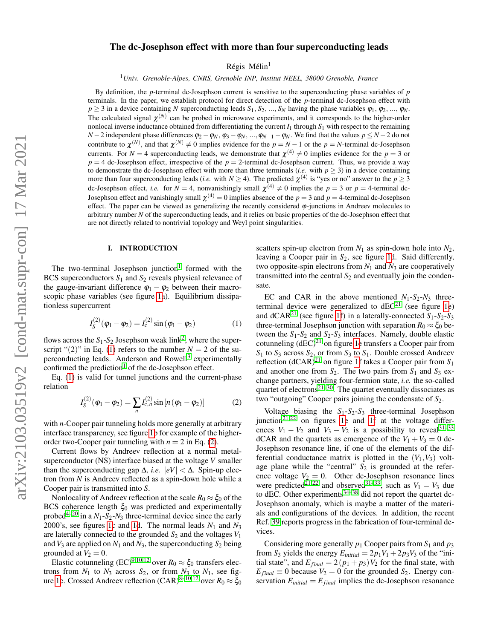# The dc-Josephson effect with more than four superconducting leads

Régis Mélin<sup>1</sup>

<sup>1</sup>*Univ. Grenoble-Alpes, CNRS, Grenoble INP, Institut NEEL, 38000 Grenoble, France*

By definition, the *p*-terminal dc-Josephson current is sensitive to the superconducting phase variables of *p* terminals. In the paper, we establish protocol for direct detection of the *p*-terminal dc-Josephson effect with  $p \geq 3$  in a device containing *N* superconducting leads  $S_1, S_2, ..., S_N$  having the phase variables  $\varphi_1, \varphi_2, ..., \varphi_N$ . The calculated signal  $\chi^{(N)}$  can be probed in microwave experiments, and it corresponds to the higher-order nonlocal inverse inductance obtained from differentiating the current  $I_1$  through  $S_1$  with respect to the remaining *N* − 2 independent phase differences  $\varphi_2 - \varphi_N$ ,  $\varphi_3 - \varphi_N$ , ...,  $\varphi_{N-1} - \varphi_N$ . We find that the values  $p ≤ N - 2$  do not contribute to  $\chi^{(N)}$ , and that  $\chi^{(N)} \neq 0$  implies evidence for the  $p = N - 1$  or the  $p = N$ -terminal dc-Josephson currents. For  $N = 4$  superconducting leads, we demonstrate that  $\chi^{(4)} \neq 0$  implies evidence for the  $p = 3$  or  $p = 4$  dc-Josephson effect, irrespective of the  $p = 2$ -terminal dc-Josephson current. Thus, we provide a way to demonstrate the dc-Josephson effect with more than three terminals (*i.e.* with  $p \ge 3$ ) in a device containing more than four superconducting leads (*i.e.* with  $N \ge 4$ ). The predicted  $\chi^{(4)}$  is "yes or no" answer to the  $p \ge 3$ dc-Josephson effect, *i.e.* for  $N = 4$ , nonvanishingly small  $\chi^{(4)} \neq 0$  implies the  $p = 3$  or  $p = 4$ -terminal dc-Josephson effect and vanishingly small  $\chi^{(4)} = 0$  implies absence of the  $p = 3$  and  $p = 4$ -terminal dc-Josephson effect. The paper can be viewed as generalizing the recently considered  $\varphi$ -junctions in Andreev molecules to arbitrary number *N* of the superconducting leads, and it relies on basic properties of the dc-Josephson effect that are not directly related to nontrivial topology and Weyl point singularities.

#### I. INTRODUCTION

The two-terminal Josephson junction<sup>[1](#page-14-0)</sup> formed with the BCS superconductors *S*<sup>1</sup> and *S*<sup>2</sup> reveals physical relevance of the gauge-invariant difference  $\varphi_1 - \varphi_2$  between their macroscopic phase variables (see figure [1a](#page-1-0)). Equilibrium dissipationless supercurrent

<span id="page-0-0"></span>
$$
I_S^{(2)}(\varphi_1 - \varphi_2) = I_c^{(2)} \sin (\varphi_1 - \varphi_2)
$$
 (1)

flows across the  $S_1$ - $S_2$  $S_2$  Josephson weak link<sup>2</sup>, where the superscript " $(2)$ " in Eq. [\(1\)](#page-0-0) refers to the number  $N = 2$  of the su-perconducting leads. Anderson and Rowell<sup>[3](#page-14-2)</sup> experimentally confirmed the prediction<sup>[1](#page-14-0)</sup> of the dc-Josephson effect.

Eq. [\(1\)](#page-0-0) is valid for tunnel junctions and the current-phase relation

<span id="page-0-1"></span>
$$
I_S^{(2)}(\varphi_1 - \varphi_2) = \sum_n I_{c,n}^{(2)} \sin\left[n\left(\varphi_1 - \varphi_2\right)\right]
$$
 (2)

with *n*-Cooper pair tunneling holds more generally at arbitrary interface transparency, see figure [1b](#page-1-0) for example of the higherorder two-Cooper pair tunneling with  $n = 2$  in Eq. [\(2\)](#page-0-1).

Current flows by Andreev reflection at a normal metalsuperconductor (NS) interface biased at the voltage *V* smaller than the superconducting gap  $\Delta$ , *i.e.*  $|eV| < \Delta$ . Spin-up electron from *N* is Andreev reflected as a spin-down hole while a Cooper pair is transmitted into *S*.

Nonlocality of Andreev reflection at the scale  $R_0 \approx \xi_0$  of the BCS coherence length  $\xi_0$  was predicted and experimentally probed<sup>[4](#page-14-3)[–20](#page-14-4)</sup> in a  $N_1$ - $S_2$ - $N_3$  three-terminal device since the early 2000's, see figures [1c](#page-1-0) and [1d](#page-1-0). The normal leads  $N_1$  and  $N_3$ are laterally connected to the grounded  $S_2$  and the voltages  $V_1$ and  $V_3$  are applied on  $N_1$  and  $N_3$ , the superconducting  $S_2$  being grounded at  $V_2 = 0$ .

Elastic cotunneling (EC)<sup>[9,](#page-14-5)[10,](#page-14-6)[12](#page-14-7)</sup> over  $R_0 \approx \xi_0$  transfers electrons from  $N_1$  to  $N_3$  across  $S_2$ , or from  $N_3$  to  $N_1$ , see fig-ure [1c](#page-1-0). Crossed Andreev reflection  $(CAR)^{8-10,12}$  $(CAR)^{8-10,12}$  $(CAR)^{8-10,12}$  $(CAR)^{8-10,12}$  $(CAR)^{8-10,12}$  over  $R_0 \approx \xi_0$ 

scatters spin-up electron from  $N_1$  as spin-down hole into  $N_2$ , leaving a Cooper pair in *S*2, see figure [1d](#page-1-0). Said differently, two opposite-spin electrons from  $N_1$  and  $N_3$  are cooperatively transmitted into the central  $S_2$  and eventually join the condensate.

EC and CAR in the above mentioned  $N_1-S_2-N_3$  threeterminal device were generalized to  $dEC^{21}$  $dEC^{21}$  $dEC^{21}$  (see figure [1e](#page-1-0)) and  $dCAR<sup>21</sup>$  $dCAR<sup>21</sup>$  $dCAR<sup>21</sup>$  (see figure [1f](#page-1-0)) in a laterally-connected  $S<sub>1</sub>$ - $S<sub>2</sub>$ - $S<sub>3</sub>$ three-terminal Josephson junction with separation  $R_0 \approx \xi_0$  between the  $S_1 - S_2$  and  $S_2 - S_3$  interfaces. Namely, double elastic cotunneling  $(dEC)^{21}$  $(dEC)^{21}$  $(dEC)^{21}$  on figure [1e](#page-1-0) transfers a Cooper pair from  $S_1$  to  $S_3$  across  $S_2$ , or from  $S_3$  to  $S_1$ . Double crossed Andreev reflection  $(dCAR)^{21}$  $(dCAR)^{21}$  $(dCAR)^{21}$  on figure [1f](#page-1-0) takes a Cooper pair from  $S_1$ and another one from  $S_2$ . The two pairs from  $S_1$  and  $S_3$  exchange partners, yielding four-fermion state, *i.e.* the so-called quartet of electrons<sup>[21–](#page-14-9)[30](#page-15-0)</sup>. The quartet eventually dissociates as two "outgoing" Cooper pairs joining the condensate of *S*2.

Voltage biasing the *S*1-*S*2-*S*<sup>3</sup> three-terminal Josephson junction<sup>[21,](#page-14-9)[22](#page-14-10)</sup> on figures [1e](#page-1-0) and [1f](#page-1-0) at the voltage differences  $V_1 - V_2$  and  $V_3 - V_2$  is a possibility to reveal<sup>[31–](#page-15-1)[33](#page-15-2)</sup> dCAR and the quartets as emergence of the  $V_1 + V_3 = 0$  dc-Josephson resonance line, if one of the elements of the differential conductance matrix is plotted in the  $(V_1, V_3)$  voltage plane while the "central"  $S_2$  is grounded at the reference voltage  $V_2 = 0$ . Other dc-Josephson resonance lines were predicted<sup>[21](#page-14-9)[,22](#page-14-10)</sup> and observed<sup>[31](#page-15-1)[–33](#page-15-2)</sup>, such as  $V_1 = V_3$  due to dEC. Other experiments $34-38$  $34-38$  did not report the quartet dc-Josephson anomaly, which is maybe a matter of the materials and configurations of the devices. In addition, the recent Ref. [39](#page-15-5) reports progress in the fabrication of four-terminal devices.

Considering more generally  $p_1$  Cooper pairs from  $S_1$  and  $p_3$ from  $S_3$  yields the energy  $E_{initial} = 2p_1V_1 + 2p_3V_3$  of the "initial state", and  $E_{final} = 2(p_1 + p_3)V_2$  for the final state, with  $E_{final} \equiv 0$  because  $V_2 = 0$  for the grounded  $S_2$ . Energy conservation  $E_{initial} = E_{final}$  implies the dc-Josephson resonance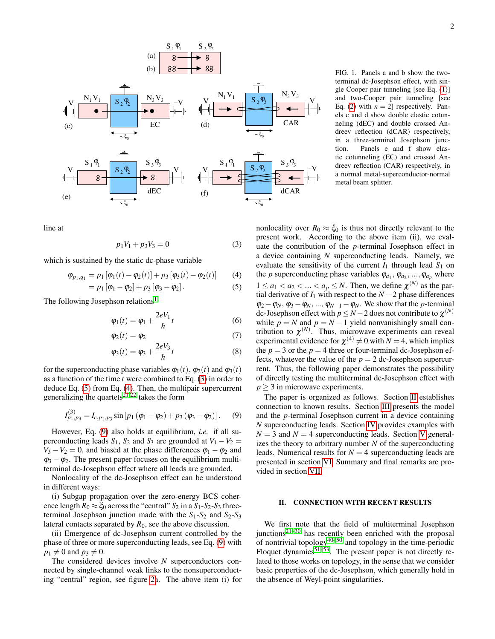

line at

<span id="page-1-1"></span>
$$
p_1V_1 + p_3V_3 = 0\tag{3}
$$

which is sustained by the static dc-phase variable

<span id="page-1-2"></span>
$$
\varphi_{p_1,q_1} = p_1 [\varphi_1(t) - \varphi_2(t)] + p_3 [\varphi_3(t) - \varphi_2(t)] \qquad (4)
$$

$$
= p_1 [\varphi_1 - \varphi_2] + p_3 [\varphi_3 - \varphi_2]. \tag{5}
$$

The following Josephson relations<sup>[1](#page-14-0)</sup>

$$
\varphi_1(t) = \varphi_1 + \frac{2eV_1}{\hbar}t\tag{6}
$$

$$
\varphi_2(t) = \varphi_2 \tag{7}
$$

$$
\varphi_3(t) = \varphi_3 + \frac{2eV_3}{\hbar}t\tag{8}
$$

for the superconducting phase variables  $\varphi_1(t)$ ,  $\varphi_2(t)$  and  $\varphi_3(t)$ as a function of the time *t* were combined to Eq. [\(3\)](#page-1-1) in order to deduce Eq. [\(5\)](#page-1-2) from Eq. [\(4\)](#page-1-2). Then, the multipair supercurrent generalizing the quartets<sup>[21](#page-14-9)[,22](#page-14-10)</sup> takes the form

<span id="page-1-3"></span>
$$
I_{p_1,p_3}^{(3)} = I_{c,p_1,p_3} \sin [p_1 (\varphi_1 - \varphi_2) + p_3 (\varphi_3 - \varphi_2)]. \quad (9)
$$

However, Eq. [\(9\)](#page-1-3) also holds at equilibrium, *i.e.* if all superconducting leads  $S_1$ ,  $S_2$  and  $S_3$  are grounded at  $V_1 - V_2$  $V_3 - V_2 = 0$ , and biased at the phase differences  $\varphi_1 - \varphi_2$  and  $\varphi_3 - \varphi_2$ . The present paper focuses on the equilibrium multiterminal dc-Josephson effect where all leads are grounded.

Nonlocality of the dc-Josephson effect can be understood in different ways:

(i) Subgap propagation over the zero-energy BCS coherence length  $R_0 \approx \xi_0$  across the "central"  $S_2$  in a  $S_1$ - $S_2$ - $S_3$  threeterminal Josephson junction made with the  $S_1 - S_2$  and  $S_2 - S_3$ lateral contacts separated by  $R_0$ , see the above discussion.

(ii) Emergence of dc-Josephson current controlled by the phase of three or more superconducting leads, see Eq. [\(9\)](#page-1-3) with  $p_1 \neq 0$  and  $p_3 \neq 0$ .

The considered devices involve *N* superconductors connected by single-channel weak links to the nonsuperconducting "central" region, see figure [2a](#page-2-0). The above item (i) for <span id="page-1-0"></span>FIG. 1. Panels a and b show the twoterminal dc-Josephson effect, with single Cooper pair tunneling [see Eq. [\(1\)](#page-0-0)] and two-Cooper pair tunneling [see Eq. [\(2\)](#page-0-1) with  $n = 2$ ] respectively. Panels c and d show double elastic cotunneling (dEC) and double crossed Andreev reflection (dCAR) respectively, in a three-terminal Josephson junction. Panels e and f show elastic cotunneling (EC) and crossed Andreev reflection (CAR) respectively, in a normal metal-superconductor-normal metal beam splitter.

nonlocality over  $R_0 \approx \xi_0$  is thus not directly relevant to the present work. According to the above item (ii), we evaluate the contribution of the *p*-terminal Josephson effect in a device containing *N* superconducting leads. Namely, we evaluate the sensitivity of the current  $I_1$  through lead  $S_1$  on the *p* superconducting phase variables  $\varphi_{a_1}, \varphi_{a_2}, ..., \varphi_{a_p}$  where  $1 \le a_1 < a_2 < \ldots < a_p \le N$ . Then, we define  $\chi^{(N)}$  as the partial derivative of  $I_1$  with respect to the  $N-2$  phase differences  $\varphi_2 - \varphi_N$ ,  $\varphi_3 - \varphi_N$ , ...,  $\varphi_{N-1} - \varphi_N$ . We show that the *p*-terminal dc-Josephson effect with  $p \le N - 2$  does not contribute to  $\chi^{(N)}$ while  $p = N$  and  $p = N - 1$  yield nonvanishingly small contribution to  $\chi^{(N)}$ . Thus, microwave experiments can reveal experimental evidence for  $\chi^{(4)} \neq 0$  with  $N = 4$ , which implies the  $p = 3$  or the  $p = 4$  three or four-terminal dc-Josephson effects, whatever the value of the  $p = 2$  dc-Josephson supercurrent. Thus, the following paper demonstrates the possibility of directly testing the multiterminal dc-Josephson effect with *p* > 3 in microwave experiments.

The paper is organized as follows. Section [II](#page-1-4) establishes connection to known results. Section [III](#page-3-0) presents the model and the *p*-terminal Josephson current in a device containing *N* superconducting leads. Section [IV](#page-6-0) provides examples with  $N = 3$  and  $N = 4$  superconducting leads. Section [V](#page-8-0) generalizes the theory to arbitrary number *N* of the superconducting leads. Numerical results for  $N = 4$  superconducting leads are presented in section [VI.](#page-12-0) Summary and final remarks are provided in section [VII.](#page-12-1)

## <span id="page-1-4"></span>II. CONNECTION WITH RECENT RESULTS

We first note that the field of multiterminal Josephson junctions<sup>[21–](#page-14-9)[30](#page-15-0)</sup> has recently been enriched with the proposal of nontrivial topology<sup>[40](#page-15-6)[–50](#page-15-7)</sup> and topology in the time-periodic Floquet dynamics<sup>[51](#page-15-8)[–53](#page-15-9)</sup>. The present paper is not directly related to those works on topology, in the sense that we consider basic properties of the dc-Josephson, which generally hold in the absence of Weyl-point singularities.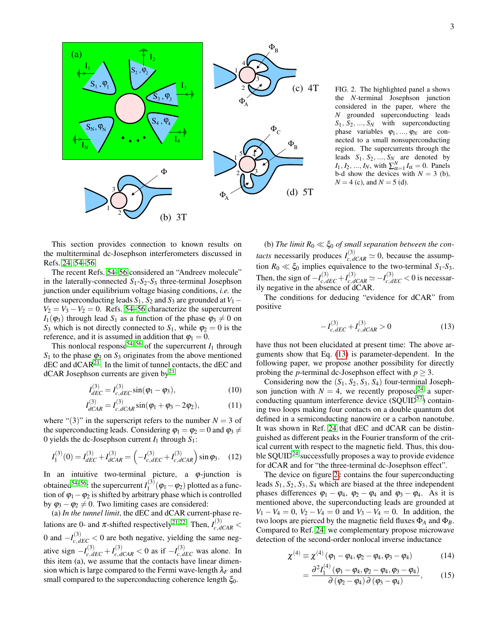

<span id="page-2-0"></span>(c) 4T FIG. 2. The highlighted panel a shows the *N*-terminal Josephson junction considered in the paper, where the *N* grounded superconducting leads  $S_1, S_2, ..., S_N$  with superconducting phase variables  $\varphi_1, ..., \varphi_N$  are connected to a small nonsuperconducting region. The supercurrents through the leads  $S_1$ ,  $S_2$ , ...,  $S_N$  are denoted by *I*<sub>1</sub>, *I*<sub>2</sub>, ..., *I<sub>N</sub>*, with  $\sum_{\alpha=1}^{N} I_{\alpha} = 0$ . Panels b-d show the devices with  $N = 3$  (b),  $N = 4$  (c), and  $N = 5$  (d).

This section provides connection to known results on the multiterminal dc-Josephson interferometers discussed in Refs. [24,](#page-14-11) [54](#page-15-10)[–56.](#page-15-11)

The recent Refs. [54](#page-15-10)[–56](#page-15-11) considered an "Andreev molecule" in the laterally-connected *S*1-*S*2-*S*<sup>3</sup> three-terminal Josephson junction under equilibrium voltage biasing conditions, *i.e.* the three superconducting leads  $S_1$ ,  $S_2$  and  $S_3$  are grounded at  $V_1$  −  $V_2 = V_3 - V_2 = 0$ . Refs. [54–](#page-15-10)[56](#page-15-11) characterize the supercurrent  $I_1(\varphi_3)$  through lead  $S_1$  as a function of the phase  $\varphi_3 \neq 0$  on *S*<sub>3</sub> which is not directly connected to *S*<sub>1</sub>, while  $\varphi$ <sub>2</sub> = 0 is the reference, and it is assumed in addition that  $\varphi_1 = 0$ .

This nonlocal response<sup>[54](#page-15-10)[–56](#page-15-11)</sup> of the supercurrent  $I_1$  through  $S_1$  to the phase  $\varphi_3$  on  $S_3$  originates from the above mentioned  $\rm dEC$  and  $\rm dCAR^{21}$  $\rm dCAR^{21}$  $\rm dCAR^{21}$ . In the limit of tunnel contacts, the  $\rm dEC$  and  $dCAR$  Josephson currents are given by<sup>[21](#page-14-9)</sup>

$$
I_{dEC}^{(3)} = I_{c,dEC}^{(3)} \sin(\varphi_1 - \varphi_3), \tag{10}
$$

$$
I_{dCAR}^{(3)} = I_{c,dCAR}^{(3)} \sin(\varphi_1 + \varphi_3 - 2\varphi_2), \tag{11}
$$

where " $(3)$ " in the superscript refers to the number  $N = 3$  of the superconducting leads. Considering  $\varphi_1 = \varphi_2 = 0$  and  $\varphi_3 \neq$ 0 yields the dc-Josephson current  $I_1$  through  $S_1$ :

$$
I_1^{(3)}(0) = I_{dEC}^{(3)} + I_{dCAR}^{(3)} = \left(-I_{c,dEC}^{(3)} + I_{c,dCAR}^{(3)}\right) \sin \varphi_3. \quad (12)
$$

In an intuitive two-terminal picture, a  $\varphi$ -junction is obtained<sup>[54](#page-15-10)[–56](#page-15-11)</sup>: the supercurrent  $I_1^{(3)}$  $\int_1^{(3)} (\varphi_1 - \varphi_2)$  plotted as a function of  $\varphi_1 - \varphi_2$  is shifted by arbitrary phase which is controlled by  $\varphi_3 - \varphi_2 \neq 0$ . Two limiting cases are considered:

(a) *In the tunnel limit*, the dEC and dCAR current-phase relations are 0- and  $\pi$ -shifted respectively<sup>[21](#page-14-9)[,22](#page-14-10)</sup>. Then,  $I_{c,dCAR}^{(3)}$  < 0 and  $-I_{c,dEC}^{(3)} < 0$  are both negative, yielding the same negative sign  $-I_{c,dEC}^{(3)} + I_{c,dCAR}^{(3)} < 0$  as if  $-I_{c,dEC}^{(3)}$  was alone. In this item (a), we assume that the contacts have linear dimension which is large compared to the Fermi wave-length  $\lambda_F$  and small compared to the superconducting coherence length  $\xi_0$ .

(b) The limit  $R_0 \ll \xi_0$  of small separation between the con*tacts* necessarily produces  $I_{c,dCAR}^{(3)} \simeq 0$ , because the assumption  $R_0 \ll \xi_0$  implies equivalence to the two-terminal  $S_1$ - $S_3$ . Then, the sign of  $-I_{c,dEC}^{(3)} + I_{c,dCAR}^{(3)} \simeq -I_{c,dEC}^{(3)} < 0$  is necessarily negative in the absence of dCAR.

The conditions for deducing "evidence for dCAR" from positive

<span id="page-2-1"></span>
$$
-I_{c,dEC}^{(3)} + I_{c,dCAR}^{(3)} > 0 \tag{13}
$$

have thus not been elucidated at present time: The above arguments show that Eq. [\(13\)](#page-2-1) is parameter-dependent. In the following paper, we propose another possibility for directly probing the *p*-terminal dc-Josephson effect with  $p > 3$ .

Considering now the  $(S_1, S_2, S_3, S_4)$  four-terminal Josephson junction with  $N = 4$ , we recently proposed<sup>[24](#page-14-11)</sup> a super-conducting quantum interference device (SQUID<sup>[57](#page-15-12)</sup>) containing two loops making four contacts on a double quantum dot defined in a semiconducting nanowire or a carbon nanotube. It was shown in Ref. [24](#page-14-11) that dEC and dCAR can be distinguished as different peaks in the Fourier transform of the critical current with respect to the magnetic field. Thus, this double  $\text{SQUID}^{24}$  $\text{SQUID}^{24}$  $\text{SQUID}^{24}$  successfully proposes a way to provide evidence for dCAR and for "the three-terminal dc-Josephson effect".

The device on figure [2c](#page-2-0) contains the four superconducting leads *S*1, *S*2, *S*3, *S*<sup>4</sup> which are biased at the three independent phases differences  $\varphi_1 - \varphi_4$ ,  $\varphi_2 - \varphi_4$  and  $\varphi_3 - \varphi_4$ . As it is mentioned above, the superconducting leads are grounded at  $V_1 - V_4 = 0$ ,  $V_2 - V_4 = 0$  and  $V_3 - V_4 = 0$ . In addition, the two loops are pierced by the magnetic field fluxes Φ*<sup>A</sup>* and Φ*B*. Compared to Ref. [24,](#page-14-11) we complementary propose microwave detection of the second-order nonlocal inverse inductance

<span id="page-2-2"></span>
$$
\chi^{(4)} \equiv \chi^{(4)} (\varphi_1 - \varphi_4, \varphi_2 - \varphi_4, \varphi_3 - \varphi_4)
$$
 (14)

$$
=\frac{\partial^2 I_1^{(4)}\left(\varphi_1-\varphi_4,\varphi_2-\varphi_4,\varphi_3-\varphi_4\right)}{\partial\left(\varphi_2-\varphi_4\right)\partial\left(\varphi_3-\varphi_4\right)},\qquad(15)
$$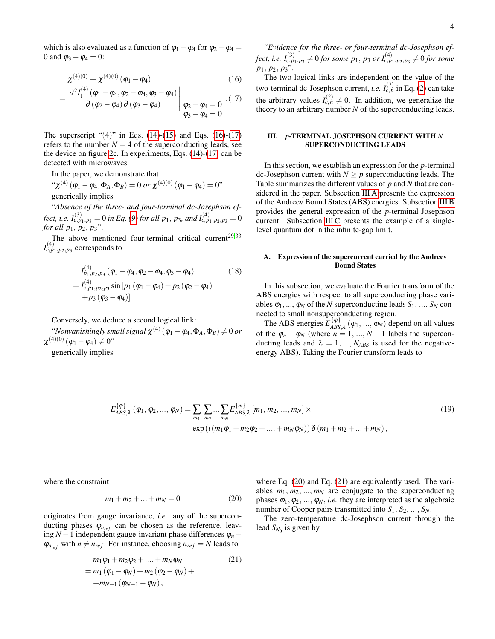which is also evaluated as a function of  $\varphi_1 - \varphi_4$  for  $\varphi_2 - \varphi_4 =$ 0 and  $\varphi_3 - \varphi_4 = 0$ :

<span id="page-3-1"></span>
$$
\chi^{(4)(0)} \equiv \chi^{(4)(0)} (\varphi_1 - \varphi_4)
$$
 (16)

$$
= \left. \frac{\partial^2 I_1^{(4)}(\varphi_1 - \varphi_4, \varphi_2 - \varphi_4, \varphi_3 - \varphi_4)}{\partial (\varphi_2 - \varphi_4) \partial (\varphi_3 - \varphi_4)} \right|_{\substack{\varphi_2 - \varphi_4 = 0 \\ \varphi_3 - \varphi_4 = 0}} \cdot (17)
$$

The superscript " $(4)$ " in Eqs. [\(14\)](#page-2-2)-[\(15\)](#page-2-2) and Eqs. [\(16\)](#page-3-1)-[\(17\)](#page-3-1) refers to the number  $N = 4$  of the superconducting leads, see the device on figure [2c](#page-2-0). In experiments, Eqs. [\(14\)](#page-2-2)-[\(17\)](#page-3-1) can be detected with microwaves.

In the paper, we demonstrate that

 $``\chi^{(4)}\left(\mathbf{\varphi}_{1}-\mathbf{\varphi}_{4},\mathbf{\Phi}_{A},\mathbf{\Phi}_{B}\right)=0\ or\ \chi^{(4)(0)}\left(\mathbf{\varphi}_{1}-\mathbf{\varphi}_{4}\right)=0"$ generically implies

"*Absence of the three- and four-terminal dc-Josephson effect, i.e.*  $I_{c,p_1,p_3}^{(3)} = 0$  *in Eq. [\(9\)](#page-1-3) for all p*1, *p*3*, and*  $I_{c,p_1,p_2,p_3}^{(4)} = 0$ *for all*  $p_1, p_2, p_3$ ".

The above mentioned four-terminal critical current<sup>[29](#page-14-12)[,33](#page-15-2)</sup>  $I_{c,p_{1},p_{2},p_{3}}^{(4)}$  corresponds to

$$
I_{p_1, p_2, p_3}^{(4)} (\varphi_1 - \varphi_4, \varphi_2 - \varphi_4, \varphi_3 - \varphi_4)
$$
\n
$$
= I_{c, p_1, p_2, p_3}^{(4)} \sin [p_1 (\varphi_1 - \varphi_4) + p_2 (\varphi_2 - \varphi_4)
$$
\n
$$
+ p_3 (\varphi_3 - \varphi_4)].
$$
\n(18)

Conversely, we deduce a second logical link:

"Nonvanishingly small signal  $\chi^{(4)}\left(\phi_1-\phi_4,\Phi_A,\Phi_B\right)\neq0$  or  $\chi^{(4)(0)}\left(\pmb{\varphi}_1-\pmb{\varphi}_4\right)\neq 0"$ 

generically implies

"*Evidence for the three- or four-terminal dc-Josephson ef*fect, i.e.  $I_{c,p_{1},p_{3}}^{(3)}\neq0$  for some  $p_{1},$   $p_{3}$  or  $I_{c,p_{1},p_{2},p_{3}}^{(4)}\neq0$  for some *p*1, *p*2, *p*3".

The two logical links are independent on the value of the two-terminal dc-Josephson current, *i.e. I*(2) *<sup>c</sup>*,*<sup>n</sup>* in Eq. [\(2\)](#page-0-1) can take the arbitrary values  $I_{c,n}^{(2)} \neq 0$ . In addition, we generalize the theory to an arbitrary number *N* of the superconducting leads.

### <span id="page-3-0"></span>III. *p*-TERMINAL JOSEPHSON CURRENT WITH *N* SUPERCONDUCTING LEADS

In this section, we establish an expression for the *p*-terminal dc-Josephson current with  $N \geq p$  superconducting leads. The Table summarizes the different values of *p* and *N* that are considered in the paper. Subsection [III A](#page-3-2) presents the expression of the Andreev Bound States (ABS) energies. Subsection [III B](#page-4-0) provides the general expression of the *p*-terminal Josephson current. Subsection [III C](#page-5-0) presents the example of a singlelevel quantum dot in the infinite-gap limit.

#### <span id="page-3-2"></span>A. Expression of the supercurrent carried by the Andreev Bound States

In this subsection, we evaluate the Fourier transform of the ABS energies with respect to all superconducting phase variables  $\varphi_1, ..., \varphi_N$  of the *N* superconducting leads  $S_1, ..., S_N$  connected to small nonsuperconducting region.

The ABS energies  $E_{ABS}^{q}$  $\mathcal{A}_{\text{ABS},\lambda}^{(\Psi)}$  ( $\varphi_1$ , ...,  $\varphi_N$ ) depend on all values of the  $\varphi_n - \varphi_N$  (where  $n = 1, ..., N - 1$  labels the superconducting leads and  $\lambda = 1, ..., N_{ABS}$  is used for the negativeenergy ABS). Taking the Fourier transform leads to

<span id="page-3-5"></span>
$$
E_{ABS,\lambda}^{\{\varphi\}}\left(\varphi_{1},\varphi_{2},...,\varphi_{N}\right)=\sum_{m_{1}}\sum_{m_{2}}...\sum_{m_{N}}E_{ABS,\lambda}^{\{m\}}\left[m_{1},m_{2},...,m_{N}\right]\times
$$
\n
$$
\exp\left(i\left(m_{1}\varphi_{1}+m_{2}\varphi_{2}+....+m_{N}\varphi_{N}\right)\right)\delta\left(m_{1}+m_{2}+...+m_{N}\right),\tag{19}
$$

where the constraint

<span id="page-3-3"></span>
$$
m_1 + m_2 + \dots + m_N = 0 \tag{20}
$$

originates from gauge invariance, *i.e.* any of the superconducting phases  $\varphi_{n_{ref}}$  can be chosen as the reference, leaving *N* −1 independent gauge-invariant phase differences ϕ*<sup>n</sup>* −  $\varphi_{n_{ref}}$  with  $n \neq n_{ref}$ . For instance, choosing  $n_{ref} = N$  leads to

<span id="page-3-4"></span>
$$
m_1 \varphi_1 + m_2 \varphi_2 + \dots + m_N \varphi_N
$$
  
=  $m_1 (\varphi_1 - \varphi_N) + m_2 (\varphi_2 - \varphi_N) + \dots$   
+ $m_{N-1} (\varphi_{N-1} - \varphi_N),$  (21)

where Eq. [\(20\)](#page-3-3) and Eq. [\(21\)](#page-3-4) are equivalently used. The variables  $m_1, m_2, ..., m_N$  are conjugate to the superconducting phases  $\varphi_1, \varphi_2, ..., \varphi_N$ , *i.e.* they are interpreted as the algebraic number of Cooper pairs transmitted into *S*1, *S*2, ..., *SN*.

The zero-temperature dc-Josephson current through the lead  $S_{N_0}$  is given by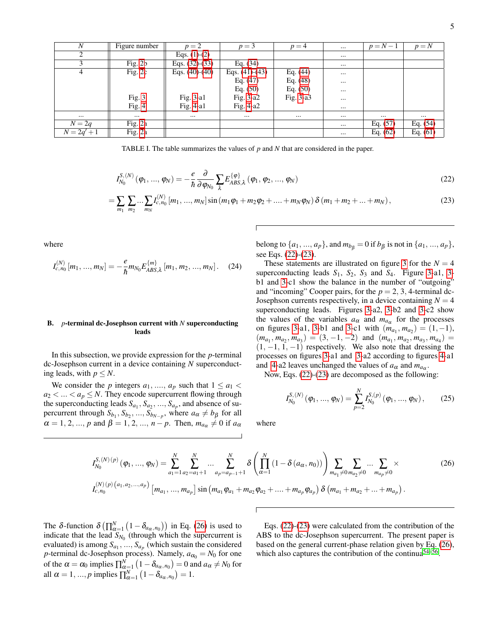| $\boldsymbol{N}$ | Figure number | $p=2$                           | $p = 3$          | $p=4$       | $\cdots$ | $p = N - 1$ | $p = N$    |
|------------------|---------------|---------------------------------|------------------|-------------|----------|-------------|------------|
| 2                |               | Eqs. $(1)-(2)$                  |                  |             | $\cdots$ |             |            |
|                  | Fig. $2b$     | Eqs. $(3\overline{2})$ - $(33)$ | Eq. $(34)$       |             | $\cdots$ |             |            |
| 4                | Fig. $2c$     | Eqs. $(40)-(40)$                | Eqs. $(41)-(43)$ | Eq. $(44)$  | $\cdots$ |             |            |
|                  |               |                                 | Eq. $(47)$       | Eq. $(48)$  | $\cdots$ |             |            |
|                  |               |                                 | Eq. $(50)$       | Eq. $(50)$  | $\cdots$ |             |            |
|                  | Fig. 3        | Fig. $3-a1$                     | Fig. $3-a2$      | Fig. $3-a3$ | $\cdots$ |             |            |
|                  | Fig. $4$      | Fig. 4-a1                       | Fig. $4-a2$      |             | $\cdots$ |             |            |
| $\cdots$         | $\cdots$      | $\cdots$                        | $\cdots$         |             | $\cdots$ | $\cdots$    |            |
| $N=2q$           | Fig. 2a       |                                 |                  |             | $\cdots$ | Eq. $(57)$  | Eq. $(54)$ |
| $N = 2q' + 1$    | Fig. 2a       |                                 |                  |             | $\cdots$ | Eq. $(62)$  | Eq. $(61)$ |

TABLE I. The table summarizes the values of *p* and *N* that are considered in the paper.

<span id="page-4-1"></span>
$$
I_{N_0}^{S,(N)}(\varphi_1, ..., \varphi_N) = -\frac{e}{\hbar} \frac{\partial}{\partial \varphi_{N_0}} \sum_{\lambda} E_{ABS,\lambda}^{\{\varphi\}}(\varphi_1, \varphi_2, ..., \varphi_N)
$$
(22)

$$
= \sum_{m_1} \sum_{m_2} \dots \sum_{m_N} I_{c,n_0}^{(N)} \left[ m_1, \dots, m_N \right] \sin \left( m_1 \varphi_1 + m_2 \varphi_2 + \dots + m_N \varphi_N \right) \delta \left( m_1 + m_2 + \dots + m_N \right), \tag{23}
$$

where

$$
I_{c,n_0}^{(N)}[m_1, ..., m_N] = -\frac{e}{\hbar} m_{N_0} E_{ABS,\lambda}^{\{m\}}[m_1, m_2, ..., m_N].
$$
 (24)

### <span id="page-4-0"></span>B. *p*-terminal dc-Josephson current with *N* superconducting leads

In this subsection, we provide expression for the *p*-terminal dc-Josephson current in a device containing *N* superconducting leads, with  $p \leq N$ .

We consider the *p* integers  $a_1, ..., a_p$  such that  $1 \le a_1 <$  $a_2 < ... < a_p \le N$ . They encode supercurrent flowing through the superconducting leads  $S_{a_1}, S_{a_2}, ..., S_{a_p}$ , and absence of supercurrent through  $S_{b_1}, S_{b_2}, ..., S_{b_{N-p}}$ , where  $a_{\alpha} \neq b_{\beta}$  for all  $\alpha = 1, 2, ..., p$  and  $\beta = 1, 2, ..., n - p$ . Then,  $m_{a\alpha} \neq 0$  if  $a_{\alpha}$ 

belong to  $\{a_1, ..., a_p\}$ , and  $m_{b} = 0$  if  $b_{\beta}$  is not in  $\{a_1, ..., a_p\}$ , see Eqs. [\(22\)](#page-4-1)-[\(23\)](#page-4-1).

These statements are illustrated on figure [3](#page-5-1) for the  $N = 4$ superconducting leads *S*1, *S*2, *S*<sup>3</sup> and *S*4. Figure [3-](#page-5-1)a1, [3](#page-5-1) b1 and [3-](#page-5-1)c1 show the balance in the number of "outgoing" and "incoming" Cooper pairs, for the  $p = 2, 3, 4$ -terminal dc-Josephson currents respectively, in a device containing  $N = 4$ superconducting leads. Figures [3-](#page-5-1)a2, [3-](#page-5-1)b2 and [3-](#page-5-1)c2 show the values of the variables  $a_{\alpha}$  and  $m_{a_{\alpha}}$  for the processes on figures [3-](#page-5-1)a1, 3-b1 and 3-c1 with  $(m_{a_1}, m_{a_2}) = (1, -1)$ ,  $(m_{a_1}, m_{a_2}, m_{a_3}) = (3, -1, -2)$  and  $(m_{a_1}, m_{a_2}, m_{a_3}, m_{a_4}) =$  $(1, -1, 1, -1)$  respectively. We also note that dressing the processes on figures [3-](#page-5-1)a1 and [3-](#page-5-1)a2 according to figures [4-](#page-5-2)a1 and [4-](#page-5-2)a2 leaves unchanged the values of  $a_{\alpha}$  and  $m_{a_{\alpha}}$ .

Now, Eqs. [\(22\)](#page-4-1)-[\(23\)](#page-4-1) are decomposed as the following:

<span id="page-4-3"></span>
$$
I_{N_0}^{S,(N)}(\varphi_1, ..., \varphi_N) = \sum_{p=2}^{N} I_{N_0}^{S,(p)}(\varphi_1, ..., \varphi_N), \qquad (25)
$$

where

<span id="page-4-2"></span>
$$
I_{N_0}^{S,(N)(p)}(\varphi_1, ..., \varphi_N) = \sum_{a_1=1}^N \sum_{a_2=a_1+1}^N ... \sum_{a_p=a_{p-1}+1}^N \delta\left(\prod_{\alpha=1}^N (1-\delta(a_\alpha, n_0))\right) \sum_{m_{a_1}\neq 0}^N \sum_{m_{a_2}\neq 0}^N ... \sum_{m_{a_p}\neq 0}^N \times \left(I_{c,n_0}^{(N)(p)(a_1, a_2, ..., a_p)}\left[m_{a_1}, ..., m_{a_p}\right] \sin\left(m_{a_1}\varphi_{a_1} + m_{a_2}\varphi_{a_2} + ... + m_{a_p}\varphi_{a_p}\right) \delta\left(m_{a_1} + m_{a_2} + ... + m_{a_p}\right).
$$
\n(26)

The  $\delta$ -function  $\delta\left(\prod_{\alpha=1}^{N} \left(1-\delta_{a_{\alpha},n_{0}}\right)\right)$  in Eq. [\(26\)](#page-4-2) is used to indicate that the lead  $S_{N_0}$  (through which the supercurrent is evaluated) is among  $S_{a_1},..., S_{a_p}$  (which sustain the considered *p*-terminal dc-Josephson process). Namely,  $a_{\alpha_0} = N_0$  for one of the  $\alpha = \alpha_0$  implies  $\prod_{\alpha=1}^N (1 - \delta_{a_\alpha, n_0}) = 0$  and  $a_\alpha \neq N_0$  for all  $\alpha = 1, ..., p$  implies  $\prod_{\alpha=1}^{N} (1 - \delta_{a_{\alpha}, n_0}) = 1.$ 

Eqs. [\(22\)](#page-4-1)-[\(23\)](#page-4-1) were calculated from the contribution of the ABS to the dc-Josephson supercurrent. The present paper is based on the general current-phase relation given by Eq. [\(26\)](#page-4-2), which also captures the contribution of the continua<sup>[54–](#page-15-10)[56](#page-15-11)</sup>.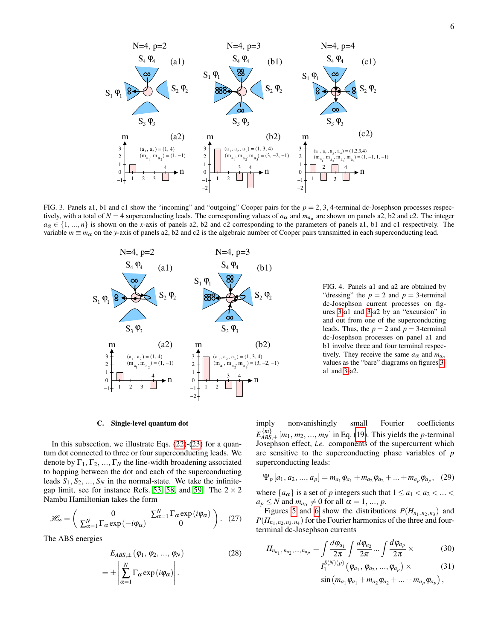

<span id="page-5-1"></span>FIG. 3. Panels a1, b1 and c1 show the "incoming" and "outgoing" Cooper pairs for the *p* = 2, 3, 4-terminal dc-Josephson processes respectively, with a total of  $N = 4$  superconducting leads. The corresponding values of  $a_{\alpha}$  and  $m_{a_{\alpha}}$  are shown on panels a2, b2 and c2. The integer  $a_{\alpha} \in \{1, ..., n\}$  is shown on the *x*-axis of panels a2, b2 and c2 corresponding to the parameters of panels a1, b1 and c1 respectively. The variable  $m \equiv m_\alpha$  on the *y*-axis of panels a2, b2 and c2 is the algebraic number of Cooper pairs transmitted in each superconducting lead.



<span id="page-5-2"></span>FIG. 4. Panels a1 and a2 are obtained by "dressing" the  $p = 2$  and  $p = 3$ -terminal dc-Josephson current processes on figures [3-](#page-5-1)a1 and [3-](#page-5-1)a2 by an "excursion" in and out from one of the superconducting leads. Thus, the  $p = 2$  and  $p = 3$ -terminal dc-Josephson processes on panel a1 and b1 involve three and four terminal respectively. They receive the same  $a_{\alpha}$  and  $m_{a_{\alpha}}$ values as the "bare" diagrams on figures [3](#page-5-1) a1 and [3-](#page-5-1)a2.

#### <span id="page-5-0"></span>C. Single-level quantum dot

In this subsection, we illustrate Eqs. [\(22\)](#page-4-1)-[\(23\)](#page-4-1) for a quantum dot connected to three or four superconducting leads. We denote by  $\Gamma_1, \Gamma_2, ..., \Gamma_N$  the line-width broadening associated to hopping between the dot and each of the superconducting leads  $S_1, S_2, ..., S_N$  in the normal-state. We take the infinite-gap limit, see for instance Refs. [53,](#page-15-9) [58,](#page-15-13) and [59.](#page-15-14) The  $2 \times 2$ Nambu Hamiltonian takes the form

<span id="page-5-4"></span>
$$
\mathscr{H}_{\infty} = \begin{pmatrix} 0 & \sum_{\alpha=1}^{N} \Gamma_{\alpha} \exp(i\varphi_{\alpha}) \\ \sum_{\alpha=1}^{N} \Gamma_{\alpha} \exp(-i\varphi_{\alpha}) & 0 \end{pmatrix}.
$$
 (27)

The ABS energies

<span id="page-5-5"></span>
$$
E_{ABS,\pm}(\varphi_1, \varphi_2, ..., \varphi_N)
$$
  
= 
$$
\pm \left| \sum_{\alpha=1}^N \Gamma_\alpha \exp(i\varphi_\alpha) \right|.
$$
 (28)

imply nonvanishingly small Fourier coefficients  $E_{ABC}^{\{m\}}$  $\frac{A_{\text{B}}(m_1, m_2, \ldots, m_N)}{A_{\text{B}}(m_1, m_2, \ldots, m_N)}$  in Eq. [\(19\)](#page-3-5). This yields the *p*-terminal Josephson effect, *i.e.* components of the supercurrent which are sensitive to the superconducting phase variables of *p* superconducting leads:

$$
\Psi_p [a_1, a_2, ..., a_p] = m_{a_1} \varphi_{a_1} + m_{a_2} \varphi_{a_2} + ... + m_{a_p} \varphi_{a_p}, \quad (29)
$$

where  ${a_{\alpha}}$  is a set of *p* integers such that  $1 \le a_1 < a_2 < ... <$  $a_p \leq N$  and  $m_{a_\alpha} \neq 0$  for all  $\alpha = 1, ..., p$ .

Figures [5](#page-6-2) and [6](#page-7-0) show the distributions  $P(H_{n_1,n_2,n_3})$  and  $P(H_{n_1,n_2,n_3,n_4})$  for the Fourier harmonics of the three and fourterminal dc-Josephson currents

<span id="page-5-3"></span>
$$
H_{n_{a_1}, n_{a_2}, \dots, n_{a_p}} = \int \frac{d\varphi_{a_1}}{2\pi} \int \frac{d\varphi_{a_2}}{2\pi} \dots \int \frac{d\varphi_{a_p}}{2\pi} \times
$$
 (30)  

$$
I_1^{S(N)(p)}(\varphi_{a_1}, \varphi_{a_2}, \dots, \varphi_{a_p}) \times
$$
 (31)

$$
\sin (m_{a_1} \varphi_{a_1} + m_{a_2} \varphi_{a_2} + \ldots + m_{a_p} \varphi_{a_p}),
$$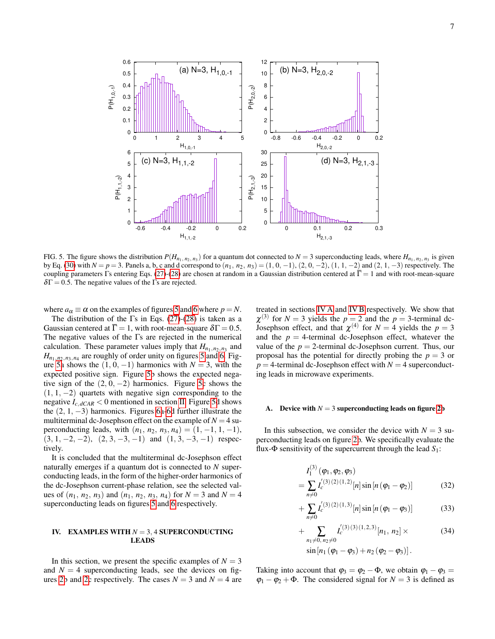

<span id="page-6-2"></span>FIG. 5. The figure shows the distribution  $P(H_{n_1, n_2, n_3})$  for a quantum dot connected to  $N = 3$  superconducting leads, where  $H_{n_1, n_2, n_3}$  is given by Eq. [\(30\)](#page-5-3) with  $N = p = 3$ . Panels a, b, c and d correspond to  $(n_1, n_2, n_3) = (1, 0, -1), (2, 0, -2), (1, 1, -2)$  and  $(2, 1, -3)$  respectively. The coupling parameters Γs entering Eqs. [\(27\)](#page-5-4)-[\(28\)](#page-5-5) are chosen at random in a Gaussian distribution centered at  $\Gamma = 1$  and with root-mean-square  $\delta\Gamma$  = 0.5. The negative values of the  $\Gamma$ s are rejected.

where  $a_{\alpha} \equiv \alpha$  on the examples of figures [5](#page-6-2) and [6](#page-7-0) where  $p = N$ .

The distribution of the  $\Gamma$ s in Eqs. [\(27\)](#page-5-4)-[\(28\)](#page-5-5) is taken as a Gaussian centered at  $\overline{\Gamma} = 1$ , with root-mean-square  $\delta \Gamma = 0.5$ . The negative values of the Γs are rejected in the numerical calculation. These parameter values imply that  $H_{n_1,n_2,n_3}$  and  $H_{n_1, n_2, n_3, n_4}$  are roughly of order unity on figures [5](#page-6-2) and [6.](#page-7-0) Fig-ure [5a](#page-6-2) shows the  $(1, 0, -1)$  harmonics with  $N = 3$ , with the expected positive sign. Figure [5b](#page-6-2) shows the expected negative sign of the  $(2, 0, -2)$  harmonics. Figure [5c](#page-6-2) shows the  $(1, 1, -2)$  quartets with negative sign corresponding to the negative  $I_{c,dCAR}$  < 0 mentioned in section [II.](#page-1-4) Figure [5d](#page-6-2) shows the (2, 1, −3) harmonics. Figures [6a-6d](#page-7-0) further illustrate the multiterminal dc-Josephson effect on the example of  $N = 4$  superconducting leads, with  $(n_1, n_2, n_3, n_4) = (1, -1, 1, -1)$ ,  $(3, 1, -2, -2), (2, 3, -3, -1)$  and  $(1, 3, -3, -1)$  respectively.

It is concluded that the multiterminal dc-Josephson effect naturally emerges if a quantum dot is connected to *N* superconducting leads, in the form of the higher-order harmonics of the dc-Josephson current-phase relation, see the selected values of  $(n_1, n_2, n_3)$  and  $(n_1, n_2, n_3, n_4)$  for  $N = 3$  and  $N = 4$ superconducting leads on figures [5](#page-6-2) and [6](#page-7-0) respectively.

# <span id="page-6-0"></span>IV. EXAMPLES WITH *N* = 3, 4 SUPERCONDUCTING LEADS

In this section, we present the specific examples of  $N = 3$ and  $N = 4$  superconducting leads, see the devices on fig-ures [2b](#page-2-0) and [2c](#page-2-0) respectively. The cases  $N = 3$  and  $N = 4$  are treated in sections [IV A](#page-6-3) and [IV B](#page-7-1) respectively. We show that  $\chi^{(3)}$  for  $N = 3$  yields the  $p = 2$  and the  $p = 3$ -terminal dc-Josephson effect, and that  $\chi^{(4)}$  for  $N = 4$  yields the  $p = 3$ and the  $p = 4$ -terminal dc-Josephson effect, whatever the value of the  $p = 2$ -terminal dc-Josephson current. Thus, our proposal has the potential for directly probing the  $p = 3$  or  $p = 4$ -terminal dc-Josephson effect with  $N = 4$  superconducting leads in microwave experiments.

#### <span id="page-6-3"></span>Device with  $N = 3$  superconducting leads on figure [2b](#page-2-0)

In this subsection, we consider the device with  $N = 3$  superconducting leads on figure [2b](#page-2-0). We specifically evaluate the flux-Φ sensitivity of the supercurrent through the lead *S*1:

<span id="page-6-1"></span>
$$
I_1^{(3)}(\varphi_1, \varphi_2, \varphi_3)
$$
  
= 
$$
\sum_{n \neq 0} I_c^{(3)(2)(1,2)}[n] \sin[n(\varphi_1 - \varphi_2)]
$$
 (32)

$$
+\sum_{n\neq 0} I_c^{(3)(2)(1,3)}[n] \sin\left[n(\varphi_1-\varphi_3)\right]
$$
 (33)

+ 
$$
\sum_{n_1 \neq 0, n_2 \neq 0} I_c^{'(3)(3)(1,2,3)}[n_1, n_2] \times
$$
 (34)  
\nsin $[n_1 (\varphi_1 - \varphi_3) + n_2 (\varphi_2 - \varphi_3)].$ 

Taking into account that  $\varphi_3 = \varphi_2 - \Phi$ , we obtain  $\varphi_1 - \varphi_3 =$  $\varphi_1 - \varphi_2 + \Phi$ . The considered signal for  $N = 3$  is defined as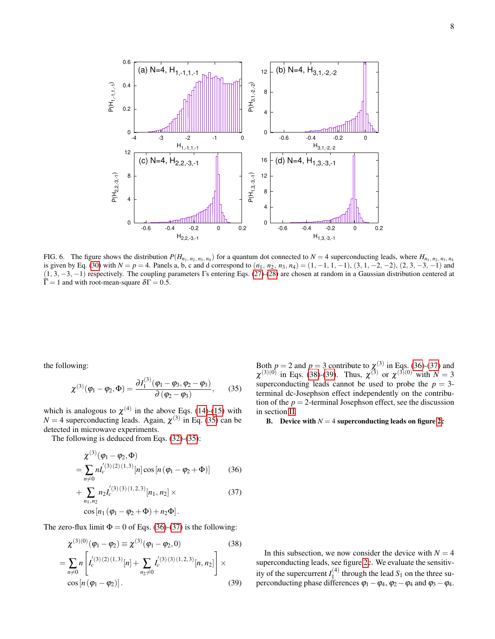

<span id="page-7-0"></span>FIG. 6. The figure shows the distribution  $P(H_{n_1,n_2,n_3,n_4})$  for a quantum dot connected to  $N = 4$  superconducting leads, where  $H_{n_1,n_2,n_3,n_4}$ is given by Eq. [\(30\)](#page-5-3) with  $N = p = 4$ . Panels a, b, c and d correspond to  $(n_1, n_2, n_3, n_4) = (1, -1, 1, -1), (3, 1, -2, -2), (2, 3, -3, -1)$  and (1, 3, −3, −1) respectively. The coupling parameters Γs entering Eqs. [\(27\)](#page-5-4)-[\(28\)](#page-5-5) are chosen at random in a Gaussian distribution centered at  $\overline{\Gamma} = 1$  and with root-mean-square  $\delta \Gamma = 0.5$ .

the following:

<span id="page-7-2"></span>
$$
\chi^{(3)}(\varphi_1 - \varphi_2, \Phi) = \frac{\partial I_1^{(3)}(\varphi_1 - \varphi_3, \varphi_2 - \varphi_3)}{\partial (\varphi_2 - \varphi_3)},\qquad(35)
$$

which is analogous to  $\chi^{(4)}$  in the above Eqs. [\(14\)](#page-2-2)-[\(15\)](#page-2-2) with  $N = 4$  superconducting leads. Again,  $\chi^{(3)}$  in Eq. [\(35\)](#page-7-2) can be detected in microwave experiments.

The following is deduced from Eqs. [\(32\)](#page-6-1)-[\(35\)](#page-6-1):

<span id="page-7-3"></span>
$$
\chi^{(3)}(\varphi_1 - \varphi_2, \Phi) = \sum_{n \neq 0} n I_c^{(3)(2)(1,3)}[n] \cos[n(\varphi_1 - \varphi_2 + \Phi)] \tag{36}
$$

+
$$
\sum_{n_1,n_2} n_2 I_c^{(3)(3)(1,2,3)}[n_1, n_2] \times \cos[n_1(\varphi_1 - \varphi_2 + \Phi) + n_2 \Phi].
$$
 (37)

The zero-flux limit  $\Phi = 0$  of Eqs. [\(36\)](#page-7-3)-[\(37\)](#page-7-3) is the following:

<span id="page-7-4"></span>
$$
\chi^{(3)(0)}(\varphi_1 - \varphi_2) \equiv \chi^{(3)}(\varphi_1 - \varphi_2, 0)
$$
\n
$$
= \sum_{n \neq 0} n \left[ I_c^{(3)(2)(1,3)}[n] + \sum_{n_2 \neq 0} I_c^{(3)(3)(1,2,3)}[n, n_2] \right] \times \cos[n(\varphi_1 - \varphi_2)].
$$
\n(39)

Both  $p = 2$  and  $p = 3$  contribute to  $\chi^{(3)}$  in Eqs. [\(36\)](#page-7-3)-[\(37\)](#page-7-3) and  $\chi^{(3)(0)}$  in Eqs. [\(38\)](#page-7-4)-[\(39\)](#page-7-4). Thus,  $\chi^{(3)}$  or  $\chi^{(3)(0)}$  with  $N=3$ superconducting leads cannot be used to probe the  $p = 3$ terminal dc-Josephson effect independently on the contribution of the  $p = 2$ -terminal Josephson effect, see the discussion in section [II.](#page-1-4)

<span id="page-7-1"></span>B. Device with  $N = 4$  superconducting leads on figure [2c](#page-2-0)

In this subsection, we now consider the device with  $N = 4$ superconducting leads, see figure [2c](#page-2-0). We evaluate the sensitivity of the supercurrent  $I_1^{(4)}$  $t_1^{(4)}$  through the lead  $S_1$  on the three superconducting phase differences  $\varphi_1 - \varphi_4$ ,  $\varphi_2 - \varphi_4$  and  $\varphi_3 - \varphi_4$ .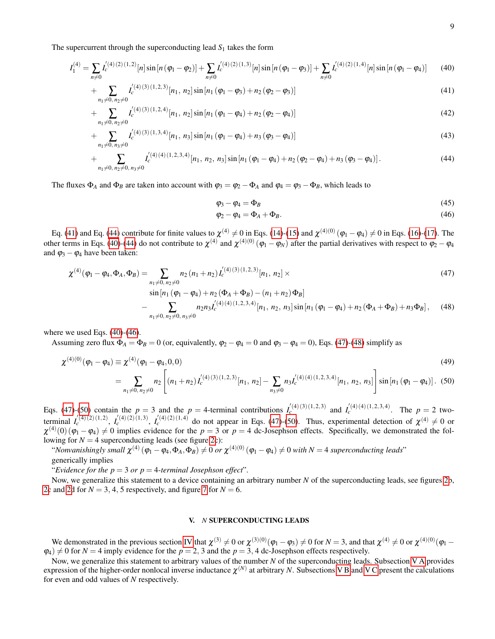The supercurrent through the superconducting lead  $S_1$  takes the form

<span id="page-8-1"></span>
$$
I_1^{(4)} = \sum_{n \neq 0} I_c^{(4)(2)(1,2)}[n] \sin[n(\varphi_1 - \varphi_2)] + \sum_{n \neq 0} I_c^{(4)(2)(1,3)}[n] \sin[n(\varphi_1 - \varphi_3)] + \sum_{n \neq 0} I_c^{(4)(2)(1,4)}[n] \sin[n(\varphi_1 - \varphi_4)] \tag{40}
$$

$$
+\sum_{n_1\neq 0,\,n_2\neq 0} I_{c}^{'(4)(3)(1,2,3)}[n_1, n_2] \sin[n_1 (\varphi_1-\varphi_3)+n_2 (\varphi_2-\varphi_3)] \tag{41}
$$

$$
+\sum_{n_1\neq 0,\,n_2\neq 0} I_c^{'(4)(3)(1,2,4)}[n_1,\,n_2]\sin[n_1(\varphi_1-\varphi_4)+n_2(\varphi_2-\varphi_4)]\tag{42}
$$

$$
+\sum_{n_1\neq 0, n_3\neq 0} I_c^{(4)(3)(1,3,4)}[n_1, n_3] \sin[n_1 (\varphi_1 - \varphi_4) + n_3 (\varphi_3 - \varphi_4)] \tag{43}
$$

+ 
$$
\sum_{n_1 \neq 0, n_2 \neq 0, n_3 \neq 0} I_c^{(4)(4)(1,2,3,4)}[n_1, n_2, n_3] \sin[n_1 (\varphi_1 - \varphi_4) + n_2 (\varphi_2 - \varphi_4) + n_3 (\varphi_3 - \varphi_4)].
$$
\n(44)

The fluxes  $\Phi_A$  and  $\Phi_B$  are taken into account with  $\varphi_3 = \varphi_2 - \Phi_A$  and  $\varphi_4 = \varphi_3 - \Phi_B$ , which leads to

<span id="page-8-4"></span>
$$
\varphi_3 - \varphi_4 = \Phi_B \tag{45}
$$

$$
\varphi_2 - \varphi_4 = \Phi_A + \Phi_B. \tag{46}
$$

Eq. [\(41\)](#page-8-1) and Eq. [\(44\)](#page-8-1) contribute for finite values to  $\chi^{(4)} \neq 0$  in Eqs. [\(14\)](#page-2-2)-[\(15\)](#page-2-2) and  $\chi^{(4)(0)}(\varphi_1 - \varphi_4) \neq 0$  in Eqs. [\(16\)](#page-3-1)-[\(17\)](#page-3-1). The other terms in Eqs. [\(40\)](#page-8-1)-[\(44\)](#page-8-1) do not contribute to  $\chi^{(4)}$  and  $\chi^{(4)(0)}(\varphi_1 - \varphi_N)$  after the partial derivatives with respect to  $\varphi_2 - \varphi_4$ and  $\varphi_3 - \varphi_4$  have been taken:

<span id="page-8-2"></span>
$$
\chi^{(4)}(\varphi_1 - \varphi_4, \Phi_A, \Phi_B) = \sum_{\substack{n_1 \neq 0, n_2 \neq 0}} n_2 (n_1 + n_2) I_c^{(4)(3)(1, 2, 3)}[n_1, n_2] \times \sin [n_1 (\varphi_1 - \varphi_4) + n_2 (\Phi_A + \Phi_B) - (n_1 + n_2) \Phi_B] - \sum_{\substack{n_1 \neq 0, n_2 \neq 0, n_3 \neq 0}} n_2 n_3 I_c^{(4)(4)(1, 2, 3, 4)}[n_1, n_2, n_3] \sin [n_1 (\varphi_1 - \varphi_4) + n_2 (\Phi_A + \Phi_B) + n_3 \Phi_B], \quad (48)
$$

where we used Eqs.  $(40)-(46)$  $(40)-(46)$  $(40)-(46)$ .

Assuming zero flux  $\Phi_A = \Phi_B = 0$  (or, equivalently,  $\phi_2 - \phi_4 = 0$  and  $\phi_3 - \phi_4 = 0$ ), Eqs. [\(47\)](#page-8-2)-[\(48\)](#page-8-2) simplify as

<span id="page-8-3"></span>
$$
\chi^{(4)(0)}(\varphi_1 - \varphi_4) \equiv \chi^{(4)}(\varphi_1 - \varphi_4, 0, 0)
$$
\n
$$
= \sum_{n_1 \neq 0, n_2 \neq 0} n_2 \left[ (n_1 + n_2) I_c^{(4)(3)(1, 2, 3)}[n_1, n_2] - \sum_{n_3 \neq 0} n_3 I_c^{(4)(4)(1, 2, 3, 4)}[n_1, n_2, n_3] \right] \sin\left[n_1 (\varphi_1 - \varphi_4)\right].
$$
\n(49)

Eqs. [\(47\)](#page-8-2)-[\(50\)](#page-8-3) contain the  $p = 3$  and the  $p = 4$ -terminal contributions  $I_c^{(4)(3)(1,2,3)}$  and  $I_c^{(4)(4)(1,2,3,4)}$ . The  $p = 2$  twoterminal  $I_c^{(4)(2)(1,2)}$ ,  $I_c^{(4)(2)(1,3)}$ ,  $I_c^{(4)(2)(1,4)}$  do not appear in Eqs. [\(47\)](#page-8-2)-[\(50\)](#page-8-3). Thus, experimental detection of  $\chi^{(4)} \neq 0$  or  $\chi^{(4)}(0) (\varphi_1 - \varphi_4) \neq 0$  implies evidence for the  $p = 3$  or  $p = 4$  dc-Josephson effects. Specifically, we demonstrated the following for  $N = 4$  superconducting leads (see figure [2c](#page-2-0)):

"*Nonvanishingly small*  $\chi^{(4)}(\varphi_1 - \varphi_4, \Phi_A, \Phi_B) \neq 0$  or  $\chi^{(4)(0)}(\varphi_1 - \varphi_4) \neq 0$  with  $N = 4$  superconducting leads" generically implies

"*Evidence for the*  $p = 3$  *or*  $p = 4$ *-terminal Josephson effect*".

Now, we generalize this statement to a device containing an arbitrary number *N* of the superconducting leads, see figures [2b](#page-2-0), [2c](#page-2-0) and [2d](#page-2-0) for  $N = 3, 4, 5$  respectively, and figure [7](#page-9-0) for  $N = 6$ .

## <span id="page-8-0"></span>V. *N* SUPERCONDUCTING LEADS

We demonstrated in the previous section [IV](#page-6-0) that  $\chi^{(3)} \neq 0$  or  $\chi^{(3)(0)}(\varphi_1 - \varphi_3) \neq 0$  for  $N = 3$ , and that  $\chi^{(4)} \neq 0$  or  $\chi^{(4)(0)}(\varphi_1 - \varphi_2)$  $\varphi_4$ )  $\neq$  0 for *N* = 4 imply evidence for the *p* = 2, 3 and the *p* = 3, 4 dc-Josephson effects respectively.

Now, we generalize this statement to arbitrary values of the number *N* of the superconducting leads. Subsection [V A](#page-9-1) provides expression of the higher-order nonlocal inverse inductance  $\chi^{(N)}$  at arbitrary N. Subsections [V B](#page-9-2) and [V C](#page-11-2) present the calculations for even and odd values of *N* respectively.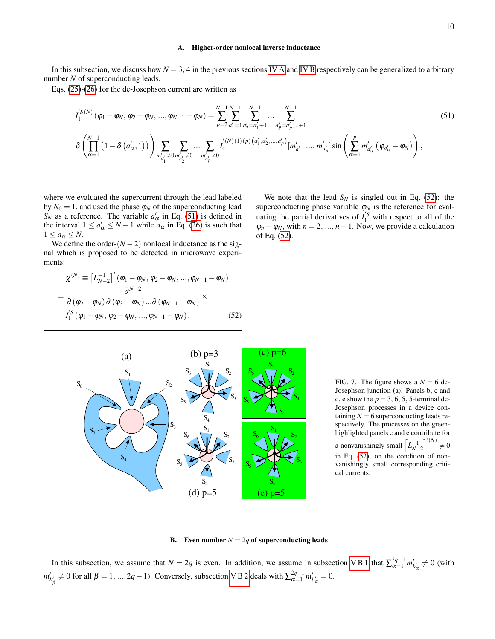### <span id="page-9-1"></span>A. Higher-order nonlocal inverse inductance

In this subsection, we discuss how  $N = 3$ , 4 in the previous sections [IV A](#page-6-3) and [IV B](#page-7-1) respectively can be generalized to arbitrary number *N* of superconducting leads.

Eqs. [\(25\)](#page-4-3)-[\(26\)](#page-4-2) for the dc-Josephson current are written as

<span id="page-9-3"></span>
$$
I_{1}^{'S(N)}(\varphi_{1}-\varphi_{N},\varphi_{2}-\varphi_{N},...,\varphi_{N-1}-\varphi_{N}) = \sum_{p=2}^{N-1} \sum_{a_{1}'=1}^{N-1} \sum_{a_{2}'=a_{1}'+1}^{N-1} ... \sum_{a_{p}'=a_{p-1}'+1}^{N-1} \varphi_{n} = a_{p-1}'+1
$$
\n
$$
\delta\left(\prod_{\alpha=1}^{N-1} \left(1-\delta\left(a_{\alpha}',1\right)\right)\right) \sum_{m'_{a_{1}'}\neq 0} \sum_{m'_{a_{2}'}\neq 0} ... \sum_{m'_{a_{p}'}\neq 0} I_{c}^{'(N)(1)(p)\left(a_{1}',a_{2}',...,a_{p}'\right)}[m'_{a_{1}'},...,m'_{a_{p}'}] \sin\left(\sum_{\alpha=1}^{p} m'_{a_{\alpha}'}\left(\varphi_{a_{\alpha}}-\varphi_{N}\right)\right),\tag{51}
$$

where we evaluated the supercurrent through the lead labeled by  $N_0 = 1$ , and used the phase  $\varphi_N$  of the superconducting lead  $S_N$  as a reference. The variable  $a'_\alpha$  in Eq. [\(51\)](#page-9-3) is defined in the interval  $1 \le a'_\alpha \le N - 1$  while  $a_\alpha$  in Eq. [\(26\)](#page-4-2) is such that  $1 \leq a_{\alpha} \leq N$ .

We define the order- $(N-2)$  nonlocal inductance as the signal which is proposed to be detected in microwave experiments:

<span id="page-9-4"></span>
$$
\chi^{(N)} \equiv \left[L_{N-2}^{-1}\right]'(\varphi_1 - \varphi_N, \varphi_2 - \varphi_N, ..., \varphi_{N-1} - \varphi_N)
$$
  
= 
$$
\frac{\partial^{N-2}}{\partial(\varphi_2 - \varphi_N) \partial(\varphi_3 - \varphi_N) ... \partial(\varphi_{N-1} - \varphi_N)} \times
$$
  

$$
I_1^{S}(\varphi_1 - \varphi_N, \varphi_2 - \varphi_N, ..., \varphi_{N-1} - \varphi_N).
$$
 (52)

We note that the lead  $S_N$  is singled out in Eq. [\(52\)](#page-9-4): the superconducting phase variable  $\varphi_N$  is the reference for evaluating the partial derivatives of  $I_1^S$  with respect to all of the  $\varphi_n - \varphi_N$ , with  $n = 2, ..., n - 1$ . Now, we provide a calculation of Eq. [\(52\)](#page-9-4).



<span id="page-9-0"></span>FIG. 7. The figure shows a  $N = 6$  dc-Josephson junction (a). Panels b, c and d, e show the  $p = 3, 6, 5, 5$ -terminal dc-Josephson processes in a device containing  $N = 6$  superconducting leads respectively. The processes on the greenhighlighted panels c and e contribute for a nonvanishingly small  $\left[\tilde{L}_{N-2}^{-1}\right]^{/(N)} \neq 0$ in Eq. [\(52\)](#page-9-4), on the condition of nonvanishingly small corresponding critical currents.

#### <span id="page-9-2"></span>**B.** Even number  $N = 2q$  of superconducting leads

In this subsection, we assume that  $N = 2q$  is even. In addition, we assume in subsection VB 1 that  $\sum_{\alpha=1}^{2q-1} m'_{b'_\alpha} \neq 0$  (with  $m'_{b'_{\beta}} \neq 0$  for all  $\beta = 1, ..., 2q - 1$ ). Conversely, subsection [V B 2](#page-10-3) deals with  $\sum_{\alpha=1}^{2q-1} m'_{b'_{\alpha}} = 0$ .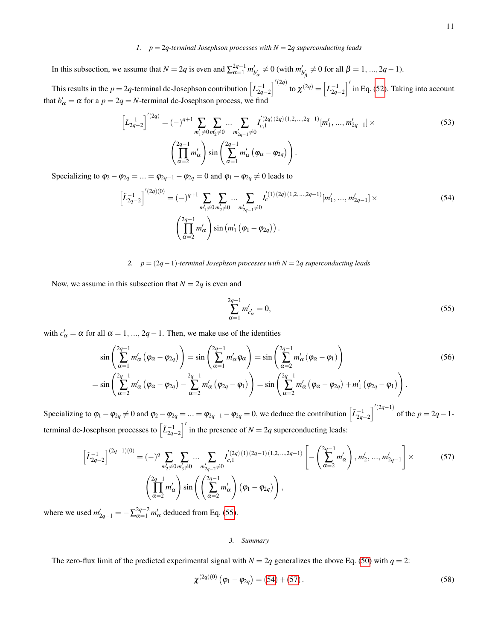# <span id="page-10-2"></span>*1. p* = 2*q-terminal Josephson processes with N* = 2*q superconducting leads*

In this subsection, we assume that  $N = 2q$  is even and  $\sum_{\alpha=1}^{2q-1} m'_{b'_\alpha} \neq 0$  (with  $m'_{b'_\alpha} \neq 0$  for all  $\beta = 1, ..., 2q - 1$ ).  $\alpha$   $\qquad \qquad \alpha$ 

This results in the  $p = 2q$ -terminal dc-Josephson contribution  $\left[L_{2q-2}^{-1}\right]^{'}$  to  $\chi^{(2q)} = \left[L_{2q-2}^{-1}\right]'$  in Eq. [\(52\)](#page-9-4). Taking into account that  $b'_\n\alpha = \alpha$  for a  $p = 2q = N$ -terminal dc-Josephson process, we find

$$
\left[L_{2q-2}^{-1}\right]'^{(2q)} = (-)^{q+1} \sum_{m_1' \neq 0} \sum_{m_2' \neq 0} \dots \sum_{m_{2q-1}'} I_{\substack{(2q)(2q)(1,2,\dots,2q-1)}([m_1',\dots,m_{2q-1}'] \times \atop \alpha=1}^{(2q-1)} \times \left(\prod_{\alpha=2}^{2q-1} m_{\alpha}' \left(\varphi_{\alpha} - \varphi_{2q}\right)\right).
$$
\n
$$
(53)
$$

Specializing to  $\varphi_2 - \varphi_{2q} = ... = \varphi_{2q-1} - \varphi_{2q} = 0$  and  $\varphi_1 - \varphi_{2q} \neq 0$  leads to

<span id="page-10-1"></span>
$$
\left[\tilde{L}_{2q-2}^{-1}\right]'^{(2q)(0)} = (-)^{q+1} \sum_{m_1' \neq 0} \sum_{m_2' \neq 0} \dots \sum_{m_{2q-1}' \neq 0} I_c'^{(1)(2q)(1,2,\dots,2q-1)}[m_1',\dots,m_{2q-1}'] \times
$$
\n
$$
\left(\prod_{\alpha=2}^{2q-1} m_\alpha'\right) \sin\left(m_1' \left(\varphi_1 - \varphi_{2q}\right)\right).
$$
\n(54)

<span id="page-10-3"></span>*2. p* = (2*q*−1)*-terminal Josephson processes with N* = 2*q superconducting leads*

Now, we assume in this subsection that  $N = 2q$  is even and

<span id="page-10-4"></span>
$$
\sum_{\alpha=1}^{2q-1} m'_{c'_\alpha} = 0,\t\t(55)
$$

with  $c'_\n\alpha = \alpha$  for all  $\alpha = 1, ..., 2q - 1$ . Then, we make use of the identities

$$
\sin\left(\sum_{\alpha=1}^{2q-1} m'_{\alpha}\left(\varphi_{\alpha}-\varphi_{2q}\right)\right)=\sin\left(\sum_{\alpha=1}^{2q-1} m'_{\alpha}\varphi_{\alpha}\right)=\sin\left(\sum_{\alpha=2}^{2q-1} m'_{\alpha}\left(\varphi_{\alpha}-\varphi_{1}\right)\right)
$$
\n
$$
=\sin\left(\sum_{\alpha=2}^{2q-1} m'_{\alpha}\left(\varphi_{\alpha}-\varphi_{2q}\right)-\sum_{\alpha=2}^{2q-1} m'_{\alpha}\left(\varphi_{2q}-\varphi_{1}\right)\right)=\sin\left(\sum_{\alpha=2}^{2q-1} m'_{\alpha}\left(\varphi_{\alpha}-\varphi_{2q}\right)+m'_{1}\left(\varphi_{2q}-\varphi_{1}\right)\right).
$$
\n(56)

Specializing to  $\varphi_1 - \varphi_{2q} \neq 0$  and  $\varphi_2 - \varphi_{2q} = ... = \varphi_{2q-1} - \varphi_{2q} = 0$ , we deduce the contribution  $\left[ \tilde{L}_{2q-2}^{-1} \right]^{(2q-1)}$  of the  $p = 2q - 1$ terminal dc-Josephson processes to  $\left[\tilde{L}_{2q-2}^{-1}\right]'$  in the presence of  $N=2q$  superconducting leads:

<span id="page-10-0"></span>
$$
\left[\tilde{L}_{2q-2}^{-1}\right]^{(2q-1)(0)} = (-)^q \sum_{m'_2 \neq 0} \sum_{m'_3 \neq 0} \dots \sum_{m'_{2q-2} \neq 0} I_{c,1}^{'(2q)(1)(2q-1)(1,2,\dots,2q-1)} \left[ -\left(\sum_{\alpha=2}^{2q-1} m'_\alpha\right), m'_2, \dots, m'_{2q-1} \right] \times \left(\prod_{\alpha=2}^{2q-1} m'_\alpha\right) \sin\left(\left(\sum_{\alpha=2}^{2q-1} m'_\alpha\right) (\varphi_1 - \varphi_{2q})\right),\right)
$$
\n(57)

where we used  $m'_{2q-1} = -\sum_{\alpha=1}^{2q-2} m'_{\alpha}$  deduced from Eq. [\(55\)](#page-10-4).

## *3. Summary*

The zero-flux limit of the predicted experimental signal with  $N = 2q$  generalizes the above Eq. [\(50\)](#page-8-3) with  $q = 2$ :

$$
\chi^{(2q)(0)}\left(\varphi_1 - \varphi_{2q}\right) = (54) + (57). \tag{58}
$$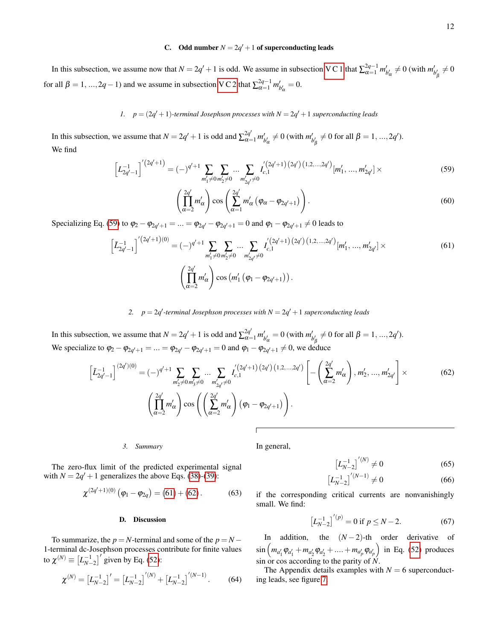# <span id="page-11-2"></span>C. Odd number  $N = 2q' + 1$  of superconducting leads

In this subsection, we assume now that  $N = 2q' + 1$  is odd. We assume in subsection [V C 1](#page-11-3) that  $\sum_{\alpha=1}^{2q-1} m'_{b'_\alpha} \neq 0$  (with  $m'_{b'_\beta} \neq 0$ for all  $\beta = 1, ..., 2q - 1$ ) and we assume in subsection [V C 2](#page-11-4) that  $\sum_{\alpha=1}^{2q-1} m'_{b'_\alpha} = 0$ .

<span id="page-11-3"></span>*1.*  $p = (2q' + 1)$ -terminal Josephson processes with  $N = 2q' + 1$  superconducting leads

In this subsection, we assume that  $N = 2q' + 1$  is odd and  $\sum_{\alpha=1}^{2q'} m'_{b'_\alpha} \neq 0$  (with  $m'_{b'_\beta} \neq 0$  for all  $\beta = 1, ..., 2q'$ ). We find

<span id="page-11-5"></span>
$$
\left[L_{2q'-1}^{-1}\right]^{(2q'+1)} = (-)^{q'+1} \sum_{m'_1 \neq 0} \sum_{m'_2 \neq 0} \dots \sum_{m'_{2q'} \neq 0} I_{c,1}^{(2q'+1)(2q')(1,2,\dots,2q')}[m'_1,\dots,m'_{2q'}] \times (59)
$$

$$
\left(\prod_{\alpha=2}^{2q'} m'_{\alpha}\right) \cos\left(\sum_{\alpha=1}^{2q'} m'_{\alpha}\left(\varphi_{\alpha}-\varphi_{2q'+1}\right)\right).
$$
\n(60)

Specializing Eq. [\(59\)](#page-11-5) to  $\varphi_2 - \varphi_{2q'+1} = ... = \varphi_{2q'} - \varphi_{2q'+1} = 0$  and  $\varphi_1 - \varphi_{2q'+1} \neq 0$  leads to

<span id="page-11-1"></span>
$$
\left[\tilde{L}_{2q'-1}^{-1}\right]^{'}(2q'+1)(0) = (-)^{q'+1} \sum_{m'_1 \neq 0} \sum_{m'_2 \neq 0} \dots \sum_{m'_{2q'} \neq 0} I_{c,1}^{'}(2q'+1)(2q')\left(1,2,\dots,2q'\right)\left[m'_1,\dots,m'_{2q'}\right] \times \left(\prod_{\alpha=2}^{2q'} m'_\alpha\right) \cos\left(m'_1\left(\varphi_1 - \varphi_{2q'+1}\right)\right).
$$
\n(61)

<span id="page-11-4"></span>2.  $p = 2q'$ -terminal Josephson processes with  $N = 2q' + 1$  superconducting leads

In this subsection, we assume that  $N = 2q' + 1$  is odd and  $\sum_{\alpha=1}^{2q'} m'_{b'\alpha} = 0$  (with  $m'_{b'\beta} \neq 0$  for all  $\beta = 1, ..., 2q'$ ). We specialize to  $\varphi_2 - \varphi_{2q'+1} = ... = \varphi_{2q'} - \varphi_{2q'+1} = 0$  and  $\varphi_1 - \varphi_{2q'+1} \neq 0$ , we deduce

<span id="page-11-0"></span>
$$
\left[\tilde{L}_{2q'-1}^{-1}\right]^{(2q')(0)} = (-)^{q'+1} \sum_{m'_2 \neq 0} \sum_{m'_3 \neq 0} \dots \sum_{m'_{2q'} \neq 0} I'_{c,1}^{(2q'+1)(2q')(1,2,\dots,2q')} \left[-\left(\sum_{\alpha=2}^{2q'} m'_\alpha\right), m'_2, \dots, m'_{2q'}\right] \times \left(\prod_{\alpha=2}^{2q'} m'_\alpha\right) \cos\left(\left(\sum_{\alpha=2}^{2q'} m'_\alpha\right) (\varphi_1 - \varphi_{2q'+1})\right).
$$
\n(62)

*3. Summary*

In general,

 $\left[L_{N-2}^{-1}\right]^{'}^{(N)} \neq 0$  (65)

$$
\left[L_{N-2}^{-1}\right]^{(N-1)} \neq 0\tag{66}
$$

if the corresponding critical currents are nonvanishingly small. We find:

$$
\left[L_{N-2}^{-1}\right]^{(p)} = 0 \text{ if } p \le N-2. \tag{67}
$$

In addition, the  $(N-2)$ -th order derivative of  $\sin \left( m_{a'_1} \varphi_{a'_1} + m_{a'_2} \varphi_{a'_2} + \dots + m_{a'_p} \varphi_{a'_p} \right)$  in Eq. [\(52\)](#page-9-4) produces sin or cos according to the parity of *N*.

The Appendix details examples with  $N = 6$  superconducting leads, see figure [7.](#page-9-0)

The zero-flux limit of the predicted experimental signal with  $N = 2q' + 1$  generalizes the above Eqs. [\(38\)](#page-7-4)-[\(39\)](#page-7-4):

$$
\chi^{(2q'+1)(0)}(\varphi_1 - \varphi_{2q}) = (61) + (62).
$$
 (63)

#### D. Discussion

To summarize, the  $p = N$ -terminal and some of the  $p = N -$ 1-terminal dc-Josephson processes contribute for finite values to  $\chi^{(N)} \equiv [L_{N-2}^{-1}]'$  given by Eq. [\(52\)](#page-9-4):

$$
\chi^{(N)} = \left[L_{N-2}^{-1}\right]' = \left[L_{N-2}^{-1}\right]^{(N)} + \left[L_{N-2}^{-1}\right]^{(N-1)}.\tag{64}
$$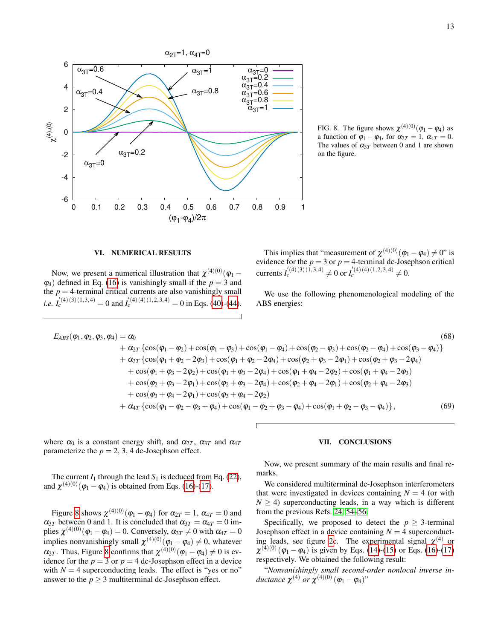

<span id="page-12-2"></span>FIG. 8. The figure shows  $\chi^{(4)(0)}(\varphi_1 - \varphi_4)$  as a function of  $\varphi_1 - \varphi_4$ , for  $\alpha_{2T} = 1$ ,  $\alpha_{4T} = 0$ . The values of  $\alpha_{3T}$  between 0 and 1 are shown on the figure.

## <span id="page-12-0"></span>VI. NUMERICAL RESULTS

Now, we present a numerical illustration that  $\chi^{(4)(0)}(\varphi_1 \varphi$ <sub>4</sub>) defined in Eq. [\(16\)](#page-3-1) is vanishingly small if the  $p = 3$  and the  $p = 4$ -terminal critical currents are also vanishingly small *i.e.*  $I_c^{(4)(3)(1,3,4)} = 0$  and  $I_c^{(4)(4)(1,2,3,4)} = 0$  in Eqs. [\(40\)](#page-8-1)-[\(44\)](#page-8-1).

This implies that "measurement of  $\chi^{(4)(0)}(\varphi_1 - \varphi_4) \neq 0$ " is evidence for the  $p = 3$  or  $p = 4$ -terminal dc-Josephson critical currents  $I_c^{(4)(3)(\hat{1},3,4)} \neq 0$  or  $I_c^{(4)(4)(1,2,3,4)} \neq 0$ .

We use the following phenomenological modeling of the ABS energies:

$$
E_{ABS}(\varphi_1, \varphi_2, \varphi_3, \varphi_4) = \alpha_0
$$
\n
$$
+ \alpha_{2T} \left\{ \cos(\varphi_1 - \varphi_2) + \cos(\varphi_1 - \varphi_3) + \cos(\varphi_1 - \varphi_4) + \cos(\varphi_2 - \varphi_3) + \cos(\varphi_2 - \varphi_4) + \cos(\varphi_3 - \varphi_4) \right\}
$$
\n
$$
+ \alpha_{3T} \left\{ \cos(\varphi_1 + \varphi_2 - 2\varphi_3) + \cos(\varphi_1 + \varphi_2 - 2\varphi_4) + \cos(\varphi_2 + \varphi_3 - 2\varphi_1) + \cos(\varphi_2 + \varphi_3 - 2\varphi_4) \right\}
$$
\n
$$
+ \cos(\varphi_1 + \varphi_3 - 2\varphi_2) + \cos(\varphi_1 + \varphi_3 - 2\varphi_4) + \cos(\varphi_1 + \varphi_4 - 2\varphi_2) + \cos(\varphi_1 + \varphi_4 - 2\varphi_3)
$$
\n
$$
+ \cos(\varphi_2 + \varphi_3 - 2\varphi_1) + \cos(\varphi_2 + \varphi_3 - 2\varphi_4) + \cos(\varphi_2 + \varphi_4 - 2\varphi_1) + \cos(\varphi_2 + \varphi_4 - 2\varphi_3)
$$
\n
$$
+ \cos(\varphi_3 + \varphi_4 - 2\varphi_1) + \cos(\varphi_3 + \varphi_4 - 2\varphi_2)
$$
\n
$$
+ \alpha_{4T} \left\{ \cos(\varphi_1 - \varphi_2 - \varphi_3 + \varphi_4) + \cos(\varphi_1 - \varphi_2 + \varphi_3 - \varphi_4) + \cos(\varphi_1 + \varphi_2 - \varphi_3 - \varphi_4) \right\},
$$
\n(69)

where  $\alpha_0$  is a constant energy shift, and  $\alpha_{2T}$ ,  $\alpha_{3T}$  and  $\alpha_{4T}$ parameterize the  $p = 2, 3, 4$  dc-Josephson effect.

The current  $I_1$  through the lead  $S_1$  is deduced from Eq. [\(22\)](#page-4-1), and  $\chi^{(4)(0)}(\varphi_1 - \varphi_4)$  is obtained from Eqs. [\(16\)](#page-3-1)-[\(17\)](#page-3-1).

Figure [8](#page-12-2) shows  $\chi^{(4)(0)}(\varphi_1 - \varphi_4)$  for  $\alpha_{2T} = 1$ ,  $\alpha_{4T} = 0$  and  $\alpha_{3T}$  between 0 and 1. It is concluded that  $\alpha_{3T} = \alpha_{4T} = 0$  implies  $\chi^{(4)(0)}(\varphi_1 - \varphi_4) = 0$ . Conversely,  $\alpha_{3T} \neq 0$  with  $\alpha_{4T} = 0$ implies nonvanishingly small  $\chi^{(4)(0)}(\varphi_1 - \varphi_4) \neq 0$ , whatever  $\alpha_{2T}$ . Thus, Figure [8](#page-12-2) confirms that  $\chi^{(4)(0)}(\varphi_1 - \varphi_4) \neq 0$  is evidence for the  $p = 3$  or  $p = 4$  dc-Josephson effect in a device with  $N = 4$  superconducting leads. The effect is "yes or no" answer to the  $p \geq 3$  multiterminal dc-Josephson effect.

#### <span id="page-12-1"></span>VII. CONCLUSIONS

Now, we present summary of the main results and final remarks.

We considered multiterminal dc-Josephson interferometers that were investigated in devices containing  $N = 4$  (or with  $N \geq 4$ ) superconducting leads, in a way which is different from the previous Refs. [24,](#page-14-11) [54](#page-15-10)[–56.](#page-15-11)

Specifically, we proposed to detect the  $p \geq 3$ -terminal Josephson effect in a device containing  $N = 4$  superconduct-ing leads, see figure [2c](#page-2-0). The experimental signal  $\chi^{(4)}$  or  $\chi^{(4)(0)}(\varphi_1 - \varphi_4)$  is given by Eqs. [\(14\)](#page-2-2)-[\(15\)](#page-2-2) or Eqs. [\(16\)](#page-3-1)-[\(17\)](#page-3-1) respectively. We obtained the following result:

"*Nonvanishingly small second-order nonlocal inverse in* $ductance \ \chi^{(4)} \ or \ \chi^{(4)(0)} \left(\varphi_{1} - \varphi_{4} \right)$ "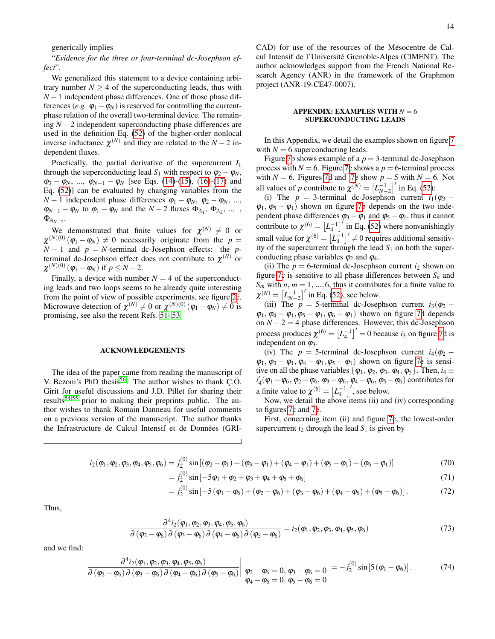generically implies

"*Evidence for the three or four-terminal dc-Josephson effect*".

We generalized this statement to a device containing arbitrary number  $N > 4$  of the superconducting leads, thus with *N* − 1 independent phase differences. One of those phase differences (*e.g.*  $\varphi_1 - \varphi_N$ ) is reserved for controlling the currentphase relation of the overall two-terminal device. The remaining *N* −2 independent superconducting phase differences are used in the definition Eq. [\(52\)](#page-9-4) of the higher-order nonlocal inverse inductance  $\chi^{(N)}$  and they are related to the  $N-2$  independent fluxes.

Practically, the partial derivative of the supercurrent *I*<sup>1</sup> through the superconducting lead  $S_1$  with respect to  $\varphi_2 - \varphi_N$ ,  $\varphi_3 - \varphi_N$ , ...,  $\varphi_{N-1} - \varphi_N$  [see Eqs. [\(14\)](#page-2-2)-[\(15\)](#page-2-2), [\(16\)](#page-3-1)-[\(17\)](#page-3-1) and Eq. [\(52\)](#page-9-4)] can be evaluated by changing variables from the  $N-1$  independent phase differences  $\varphi_1 - \varphi_N$ ,  $\varphi_2 - \varphi_N$ , ...,  $\varphi_{N-1} - \varphi_N$  to  $\varphi_1 - \varphi_N$  and the  $N-2$  fluxes  $\Phi_{A_1}, \Phi_{A_2}, \dots$  $\Phi_{\!A_{N-2}}.$ 

We demonstrated that finite values for  $\chi^{(N)} \neq 0$  or  $\chi^{(N)(0)}(\varphi_1 - \varphi_N) \neq 0$  necessarily originate from the  $p =$  $N-1$  and  $p = N$ -terminal dc-Josephson effects: the *p*terminal dc-Josephson effect does not contribute to  $\chi^{(N)}$  or  $\chi^{(N)(0)}(\varphi_1 - \varphi_N)$  if  $p \le N - 2$ .

Finally, a device with number  $N = 4$  of the superconducting leads and two loops seems to be already quite interesting from the point of view of possible experiments, see figure [2c](#page-2-0). Microwave detection of  $\chi^{(N)} \neq 0$  or  $\chi^{(N)(0)}(\varphi_1 - \varphi_N) \neq 0$  is promising, see also the recent Refs. [51–](#page-15-8)[53.](#page-15-9)

#### ACKNOWLEDGEMENTS

The idea of the paper came from reading the manuscript of V. Bezoni's PhD thesis<sup>[56](#page-15-11)</sup>. The author wishes to thank  $\overline{C}$ . $\ddot{O}$ . Girit for useful discussions and J.D. Pillet for sharing their results<sup>[54](#page-15-10)[,55](#page-15-15)</sup> prior to making their preprints public. The author wishes to thank Romain Danneau for useful comments on a previous version of the manuscript. The author thanks the Infrastructure de Calcul Intensif et de Données (GRI-

CAD) for use of the resources of the Mésocentre de Calcul Intensif de l'Universite Grenoble-Alpes (CIMENT). The ´ author acknowledges support from the French National Research Agency (ANR) in the framework of the Graphmon project (ANR-19-CE47-0007).

## $APPENDIX: EXAMPLES WITH  $N = 6$$ SUPERCONDUCTING LEADS

In this Appendix, we detail the examples shown on figure [7](#page-9-0) with  $N = 6$  superconducting leads.

Figure [7b](#page-9-0) shows example of a  $p = 3$ -terminal dc-Josephson process with  $N = 6$ . Figure [7c](#page-9-0) shows a  $p = 6$ -terminal process with  $N = 6$ . Figures [7d](#page-9-0) and [7e](#page-9-0) show  $p = 5$  with  $N = 6$ . Not all values of *p* contribute to  $\chi^{(N)} = \left[ L_{N-2}^{-1} \right]$  in Eq. [\(52\)](#page-9-4):

(i) The  $p = 3$ -terminal dc-Josephson current  $i_1(\varphi_3 - \varphi_1)$  $\varphi_1, \varphi_5 - \varphi_1$ ) shown on figure [7b](#page-9-0) depends on the two independent phase differences  $\varphi_3 - \varphi_1$  and  $\varphi_5 - \varphi_1$ , thus it cannot contribute to  $\chi^{(6)} = \left[L_4^{-1}\right]'$  in Eq. [\(52\)](#page-9-4) where nonvanishingly small value for  $\chi^{(6)} = [L_4^{-1}]' \neq 0$  requires additional sensitivity of the supercurrent through the lead  $S_1$  on both the superconducting phase variables  $\varphi_2$  and  $\varphi_4$ .

(ii) The  $p = 6$ -terminal dc-Josephson current  $i_2$  shown on figure [7c](#page-9-0) is sensitive to all phase differences between  $S_n$  and  $S_m$  with *n*,  $m = 1, ..., 6$ , thus it contributes for a finite value to  $\chi^{(N)} = [L_{N-2}^{-1}]'$  in Eq. [\(52\)](#page-9-4), see below.

(iii) The  $p = 5$ -terminal dc-Josephson current  $i_3(\varphi_2 - \pi)$  $\varphi_1, \varphi_4 - \varphi_1, \varphi_5 - \varphi_1, \varphi_6 - \varphi_1$  shown on figure [7d](#page-9-0) depends on  $N - 2 = 4$  phase differences. However, this dc-Josephson process produces  $\chi^{(6)} = [L_4^{-1}]' = 0$  because *i*<sub>3</sub> on figure [7d](#page-9-0) is independent on  $\varphi_3$ .

(iv) The  $p = 5$ -terminal dc-Josephson current  $i_4(\varphi_2 \varphi_1, \varphi_3 - \varphi_1, \varphi_4 - \varphi_1, \varphi_5 - \varphi_1$  shown on figure [7e](#page-9-0) is sensitive on all the phase variables { $\varphi_1$ ,  $\varphi_2$ ,  $\varphi_3$ ,  $\varphi_4$ ,  $\varphi_5$ }. Then,  $i_4 \equiv$  $i'_4(\varphi_1 - \varphi_6, \varphi_2 - \varphi_6, \varphi_3 - \varphi_6, \varphi_4 - \varphi_6, \varphi_5 - \varphi_6)$  contributes for a finite value to  $\chi^{(6)} = \left[L_4^{-1}\right]^{\prime}$ , see below.

Now, we detail the above items (ii) and (iv) corresponding to figures [7c](#page-9-0) and [7e](#page-9-0).

First, concerning item (ii) and figure [7c](#page-9-0), the lowest-order supercurrent  $i_2$  through the lead  $S_1$  is given by

$$
i_2(\varphi_1, \varphi_2, \varphi_3, \varphi_4, \varphi_5, \varphi_6) = j_2^{(0)} \sin\left[ (\varphi_2 - \varphi_1) + (\varphi_3 - \varphi_1) + (\varphi_4 - \varphi_1) + (\varphi_5 - \varphi_1) + (\varphi_6 - \varphi_1) \right]
$$
(70)

$$
= j_2^{(0)} \sin \left[ -5\varphi_1 + \varphi_2 + \varphi_3 + \varphi_4 + \varphi_5 + \varphi_6 \right]
$$
\n(71)

$$
= j_2^{(0)} \sin \left[ -5 \left( \varphi_1 - \varphi_6 \right) + \left( \varphi_2 - \varphi_6 \right) + \left( \varphi_3 - \varphi_6 \right) + \left( \varphi_4 - \varphi_6 \right) + \left( \varphi_5 - \varphi_6 \right) \right]. \tag{72}
$$

Thus,

<span id="page-13-0"></span>
$$
\frac{\partial^4 i_2(\varphi_1, \varphi_2, \varphi_3, \varphi_4, \varphi_5, \varphi_6)}{\partial (\varphi_2 - \varphi_6) \partial (\varphi_3 - \varphi_6) \partial (\varphi_4 - \varphi_6) \partial (\varphi_5 - \varphi_6)} = i_2(\varphi_1, \varphi_2, \varphi_3, \varphi_4, \varphi_5, \varphi_6)
$$
\n(73)

and we find:

$$
\frac{\partial^4 i_2(\varphi_1, \varphi_2, \varphi_3, \varphi_4, \varphi_5, \varphi_6)}{\partial (\varphi_2 - \varphi_6) \partial (\varphi_3 - \varphi_6) \partial (\varphi_4 - \varphi_6) \partial (\varphi_5 - \varphi_6)} \Bigg|_{\begin{subarray}{l} \varphi_2 - \varphi_6 = 0, \varphi_3 - \varphi_6 = 0 \\ \varphi_4 - \varphi_6 = 0, \varphi_5 - \varphi_6 = 0 \end{subarray}} = -j_2^{(0)} \sin [5 (\varphi_1 - \varphi_6)]. \tag{74}
$$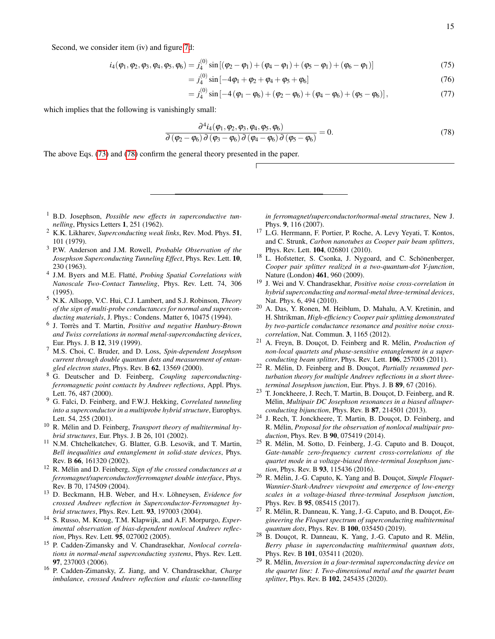Second, we consider item (iv) and figure [7d](#page-9-0):

$$
i_4(\varphi_1, \varphi_2, \varphi_3, \varphi_4, \varphi_5, \varphi_6) = j_4^{(0)} \sin[(\varphi_2 - \varphi_1) + (\varphi_4 - \varphi_1) + (\varphi_5 - \varphi_1) + (\varphi_6 - \varphi_1)]
$$
\n(75)

$$
= j_4^{(0)} \sin \left[ -4\varphi_1 + \varphi_2 + \varphi_4 + \varphi_5 + \varphi_6 \right]
$$
\n(76)

$$
= j_4^{(0)} \sin \left[ -4 \left( \varphi_1 - \varphi_6 \right) + \left( \varphi_2 - \varphi_6 \right) + \left( \varphi_4 - \varphi_6 \right) + \left( \varphi_5 - \varphi_6 \right) \right],\tag{77}
$$

which implies that the following is vanishingly small:

<span id="page-14-13"></span>
$$
\frac{\partial^4 i_4(\varphi_1, \varphi_2, \varphi_3, \varphi_4, \varphi_5, \varphi_6)}{\partial (\varphi_2 - \varphi_6) \partial (\varphi_3 - \varphi_6) \partial (\varphi_4 - \varphi_6) \partial (\varphi_5 - \varphi_6)} = 0.
$$
\n(78)

The above Eqs. [\(73\)](#page-13-0) and [\(78\)](#page-14-13) confirm the general theory presented in the paper.

- <span id="page-14-0"></span><sup>1</sup> B.D. Josephson, *Possible new effects in superconductive tunnelling*, Physics Letters 1, 251 (1962).
- <span id="page-14-1"></span><sup>2</sup> K.K. Likharev, *Superconducting weak links*, Rev. Mod. Phys. 51, 101 (1979).
- <span id="page-14-2"></span><sup>3</sup> P.W. Anderson and J.M. Rowell, *Probable Observation of the Josephson Superconducting Tunneling Effect*, Phys. Rev. Lett. 10, 230 (1963).
- <span id="page-14-3"></span><sup>4</sup> J.M. Byers and M.E. Flatté, *Probing Spatial Correlations with Nanoscale Two-Contact Tunneling*, Phys. Rev. Lett. 74, 306 (1995).
- <sup>5</sup> N.K. Allsopp, V.C. Hui, C.J. Lambert, and S.J. Robinson, *Theory of the sign of multi-probe conductances for normal and superconducting materials*, J. Phys.: Condens. Matter 6, 10475 (1994).
- <sup>6</sup> J. Torrès and T. Martin, *Positive and negative Hanbury-Brown and Twiss correlations in normal metal-superconducting devices*, Eur. Phys. J. B 12, 319 (1999).
- <sup>7</sup> M.S. Choi, C. Bruder, and D. Loss, *Spin-dependent Josephson current through double quantum dots and measurement of entangled electron states*, Phys. Rev. B 62, 13569 (2000).
- <span id="page-14-8"></span><sup>8</sup> G. Deutscher and D. Feinberg, *Coupling superconductingferromagnetic point contacts by Andreev reflections*, Appl. Phys. Lett. 76, 487 (2000).
- <span id="page-14-5"></span><sup>9</sup> G. Falci, D. Feinberg, and F.W.J. Hekking, *Correlated tunneling into a superconductor in a multiprobe hybrid structure*, Europhys. Lett. 54, 255 (2001).
- <span id="page-14-6"></span><sup>10</sup> R. Mélin and D. Feinberg, *Transport theory of multiterminal hybrid structures*, Eur. Phys. J. B 26, 101 (2002).
- <sup>11</sup> N.M. Chtchelkatchev, G. Blatter, G.B. Lesovik, and T. Martin, *Bell inequalities and entanglement in solid-state devices*, Phys. Rev. B 66, 161320 (2002).
- <span id="page-14-7"></span><sup>12</sup> R. Mélin and D. Feinberg, Sign of the crossed conductances at a *ferromagnet/superconductor/ferromagnet double interface*, Phys. Rev. B 70, 174509 (2004).
- <sup>13</sup> D. Beckmann, H.B. Weber, and H.v. Löhneysen, *Evidence for crossed Andreev reflection in Superconductor-Ferromagnet hybrid structures*, Phys. Rev. Lett. 93, 197003 (2004).
- <sup>14</sup> S. Russo, M. Kroug, T.M. Klapwijk, and A.F. Morpurgo, *Experimental observation of bias-dependent nonlocal Andreev reflection*, Phys. Rev. Lett. 95, 027002 (2005).
- <sup>15</sup> P. Cadden-Zimansky and V. Chandrasekhar, *Nonlocal correlations in normal-metal superconducting systems*, Phys. Rev. Lett. 97, 237003 (2006).
- <sup>16</sup> P. Cadden-Zimansky, Z. Jiang, and V. Chandrasekhar, *Charge imbalance, crossed Andreev reflection and elastic co-tunnelling*

*in ferromagnet/superconductor/normal-metal structures*, New J. Phys. 9, 116 (2007).

- <sup>17</sup> L.G. Herrmann, F. Portier, P. Roche, A. Levy Yeyati, T. Kontos, and C. Strunk, *Carbon nanotubes as Cooper pair beam splitters*, Phys. Rev. Lett. 104, 026801 (2010).
- $18$  L. Hofstetter, S. Csonka, J. Nygoard, and C. Schönenberger, *Cooper pair splitter realized in a two-quantum-dot Y-junction*, Nature (London) 461, 960 (2009).
- <sup>19</sup> J. Wei and V. Chandrasekhar, *Positive noise cross-correlation in hybrid superconducting and normal-metal three-terminal devices*, Nat. Phys. 6, 494 (2010).
- <span id="page-14-4"></span><sup>20</sup> A. Das, Y. Ronen, M. Heiblum, D. Mahalu, A.V. Kretinin, and H. Shtrikman, *High-efficiency Cooper pair splitting demonstrated by two-particle conductance resonance and positive noise crosscorrelation*, Nat. Commun. 3, 1165 (2012).
- <span id="page-14-9"></span><sup>21</sup> A. Freyn, B. Douçot, D. Feinberg and R. Mélin, *Production of non-local quartets and phase-sensitive entanglement in a superconducting beam splitter*, Phys. Rev. Lett. 106, 257005 (2011).
- <span id="page-14-10"></span><sup>22</sup> R. Mélin, D. Feinberg and B. Douçot, *Partially resummed perturbation theory for multiple Andreev reflections in a short threeterminal Josephson junction*, Eur. Phys. J. B 89, 67 (2016).
- <sup>23</sup> T. Jonckheere, J. Rech, T. Martin, B. Douçot, D. Feinberg, and R. Mélin, *Multipair DC Josephson resonances in a biased allsuperconducting bijunction*, Phys. Rev. B 87, 214501 (2013).
- <span id="page-14-11"></span><sup>24</sup> J. Rech, T. Jonckheere, T. Martin, B. Douçot, D. Feinberg, and R. Mélin, *Proposal for the observation of nonlocal multipair production*, Phys. Rev. B 90, 075419 (2014).
- $25$  R. Mélin, M. Sotto, D. Feinberg, J.-G. Caputo and B. Douçot, *Gate-tunable zero-frequency current cross-correlations of the quartet mode in a voltage-biased three-terminal Josephson junction*, Phys. Rev. B 93, 115436 (2016).
- <sup>26</sup> R. Mélin, J.-G. Caputo, K. Yang and B. Douçot, Simple Floquet-*Wannier-Stark-Andreev viewpoint and emergence of low-energy scales in a voltage-biased three-terminal Josephson junction*, Phys. Rev. B 95, 085415 (2017).
- <sup>27</sup> R. Mélin, R. Danneau, K. Yang, J.-G. Caputo, and B. Douçot, *Engineering the Floquet spectrum of superconducting multiterminal quantum dots*, Phys. Rev. B 100, 035450 (2019).
- <sup>28</sup> B. Douçot, R. Danneau, K. Yang, J.-G. Caputo and R. Mélin, *Berry phase in superconducting multiterminal quantum dots*, Phys. Rev. B 101, 035411 (2020).
- <span id="page-14-12"></span><sup>29</sup> R. Mélin, *Inversion in a four-terminal superconducting device on the quartet line: I. Two-dimensional metal and the quartet beam splitter*, Phys. Rev. B 102, 245435 (2020).